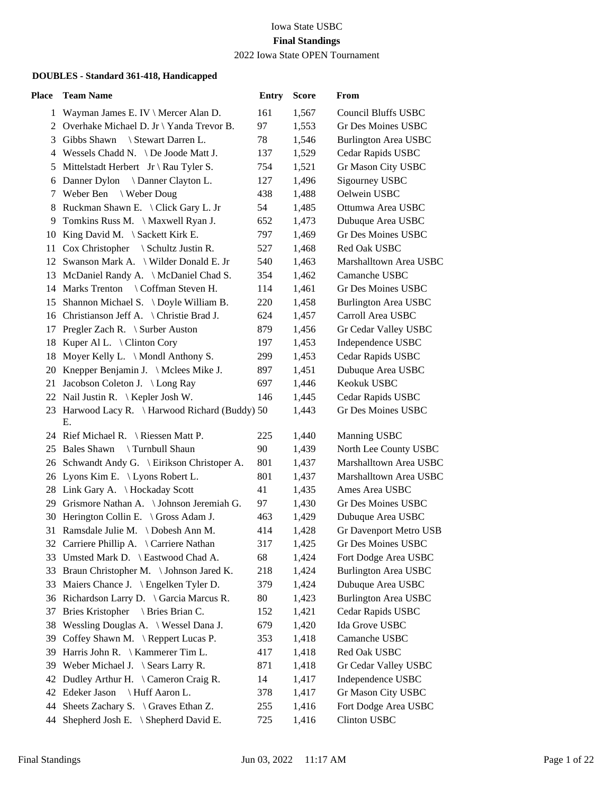#### Iowa State USBC **Final Standings** 2022 Iowa State OPEN Tournament

| Place | <b>Team Name</b>                                      | <b>Entry</b> | <b>Score</b> | From                        |
|-------|-------------------------------------------------------|--------------|--------------|-----------------------------|
|       | 1 Wayman James E. IV \ Mercer Alan D.                 | 161          | 1,567        | <b>Council Bluffs USBC</b>  |
|       | 2 Overhake Michael D. Jr \ Yanda Trevor B.            | 97           | 1,553        | Gr Des Moines USBC          |
| 3     | Gibbs Shawn<br>Stewart Darren L.                      | 78           | 1,546        | <b>Burlington Area USBC</b> |
| 4     | Wessels Chadd N. \ De Joode Matt J.                   | 137          | 1,529        | Cedar Rapids USBC           |
| 5     | Mittelstadt Herbert $Jr \ Rau$ Tyler S.               | 754          | 1,521        | Gr Mason City USBC          |
| 6     | Danner Clayton L.<br>Danner Dylon                     | 127          | 1,496        | Sigourney USBC              |
| 7     | Weber Ben \ Weber Doug                                | 438          | 1,488        | Oelwein USBC                |
| 8     | Ruckman Shawn E. \ Click Gary L. Jr                   | 54           | 1,485        | Ottumwa Area USBC           |
| 9     | Tomkins Russ M. \ Maxwell Ryan J.                     | 652          | 1,473        | Dubuque Area USBC           |
| 10    | King David M. $\setminus$ Sackett Kirk E.             | 797          | 1,469        | Gr Des Moines USBC          |
| 11    | $\cos$ Christopher \ Schultz Justin R.                | 527          | 1,468        | Red Oak USBC                |
|       | 12 Swanson Mark A. \ Wilder Donald E. Jr              | 540          | 1,463        | Marshalltown Area USBC      |
|       | 13 McDaniel Randy A. \ McDaniel Chad S.               | 354          | 1,462        | Camanche USBC               |
|       | 14 Marks Trenton \ Coffman Steven H.                  | 114          | 1,461        | Gr Des Moines USBC          |
|       | 15 Shannon Michael S. \Doyle William B.               | 220          | 1,458        | <b>Burlington Area USBC</b> |
|       | 16 Christianson Jeff A. \ Christie Brad J.            | 624          | 1,457        | Carroll Area USBC           |
|       | 17 Pregler Zach R. \ Surber Auston                    | 879          | 1,456        | Gr Cedar Valley USBC        |
| 18    | Kuper Al L. \ Clinton Cory                            | 197          | 1,453        | Independence USBC           |
| 18    | Moyer Kelly L. \ Mondl Anthony S.                     | 299          | 1,453        | Cedar Rapids USBC           |
|       | 20 Knepper Benjamin J. \ Mclees Mike J.               | 897          | 1,451        | Dubuque Area USBC           |
|       | 21 Jacobson Coleton J. \ Long Ray                     | 697          | 1,446        | Keokuk USBC                 |
|       | 22 Nail Justin R. \ Kepler Josh W.                    | 146          | 1,445        | Cedar Rapids USBC           |
|       | 23 Harwood Lacy R. \ Harwood Richard (Buddy) 50<br>Е. |              | 1,443        | Gr Des Moines USBC          |
|       | 24 Rief Michael R. \ Riessen Matt P.                  | 225          | 1,440        | Manning USBC                |
|       | 25 Bales Shawn<br>\ Turnbull Shaun                    | 90           | 1,439        | North Lee County USBC       |
|       | 26 Schwandt Andy G. \ Eirikson Christoper A.          | 801          | 1,437        | Marshalltown Area USBC      |
|       | 26 Lyons Kim E. \ Lyons Robert L.                     | 801          | 1,437        | Marshalltown Area USBC      |
|       | 28 Link Gary A. \Hockaday Scott                       | 41           | 1,435        | Ames Area USBC              |
|       | 29 Grismore Nathan A. \Johnson Jeremiah G.            | 97           | 1,430        | Gr Des Moines USBC          |
|       | 30 Herington Collin E. \ Gross Adam J.                | 463          | 1,429        | Dubuque Area USBC           |
|       | 31 Ramsdale Julie M. \Dobesh Ann M.                   | 414          | 1,428        | Gr Davenport Metro USB      |
|       | 32 Carriere Phillip A. \ Carriere Nathan              | 317          | 1,425        | Gr Des Moines USBC          |
|       | 33 Umsted Mark D. \ Eastwood Chad A.                  | 68           | 1,424        | Fort Dodge Area USBC        |
| 33    | Braun Christopher M. \Johnson Jared K.                | 218          | 1,424        | <b>Burlington Area USBC</b> |
| 33    | Maiers Chance J. \ Engelken Tyler D.                  | 379          | 1,424        | Dubuque Area USBC           |
|       | 36 Richardson Larry D. \ Garcia Marcus R.             | 80           | 1,423        | <b>Burlington Area USBC</b> |
| 37    | Bries Kristopher \ Bries Brian C.                     | 152          | 1,421        | Cedar Rapids USBC           |
| 38    | Wessling Douglas A. \ Wessel Dana J.                  | 679          | 1,420        | Ida Grove USBC              |
| 39    | Coffey Shawn M. \ Reppert Lucas P.                    | 353          | 1,418        | Camanche USBC               |
| 39    | Harris John R. \ Kammerer Tim L.                      | 417          | 1,418        | Red Oak USBC                |
| 39    | Weber Michael J. $\text{Sears Larry R.}$              | 871          | 1,418        | Gr Cedar Valley USBC        |
| 42    | Dudley Arthur H. \ Cameron Craig R.                   | 14           | 1,417        | Independence USBC           |
| 42    | Huff Aaron L.<br>Edeker Jason                         | 378          | 1,417        | Gr Mason City USBC          |
| 44    | Sheets Zachary S. $\setminus$ Graves Ethan Z.         | 255          | 1,416        | Fort Dodge Area USBC        |
|       | 44 Shepherd Josh E. \ Shepherd David E.               | 725          | 1,416        | Clinton USBC                |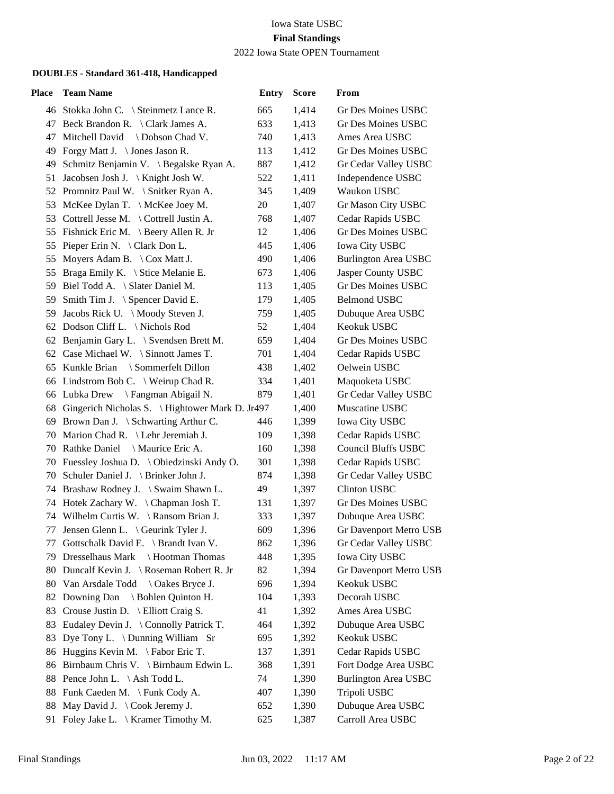2022 Iowa State OPEN Tournament

| Place | <b>Team Name</b>                                   | <b>Entry</b> | <b>Score</b> | From                          |
|-------|----------------------------------------------------|--------------|--------------|-------------------------------|
|       | 46 Stokka John C. \ Steinmetz Lance R.             | 665          | 1,414        | Gr Des Moines USBC            |
|       | 47 Beck Brandon R. \ Clark James A.                | 633          | 1,413        | Gr Des Moines USBC            |
| 47    | Mitchell David \ Dobson Chad V.                    | 740          | 1,413        | Ames Area USBC                |
|       | 49 Forgy Matt J. \ Jones Jason R.                  | 113          | 1,412        | Gr Des Moines USBC            |
| 49    | Schmitz Benjamin V. \ Begalske Ryan A.             | 887          | 1,412        | Gr Cedar Valley USBC          |
| 51    | Jacobsen Josh J. \ Knight Josh W.                  | 522          | 1,411        | Independence USBC             |
|       | 52 Promnitz Paul W. \ Snitker Ryan A.              | 345          | 1,409        | Waukon USBC                   |
|       | 53 McKee Dylan T. \ McKee Joey M.                  | 20           | 1,407        | Gr Mason City USBC            |
|       | 53 Cottrell Jesse M. \Cottrell Justin A.           | 768          | 1,407        | Cedar Rapids USBC             |
|       | 55 Fishnick Eric M. \ Beery Allen R. Jr            | 12           | 1,406        | Gr Des Moines USBC            |
| 55    | Pieper Erin N. $\setminus$ Clark Don L.            | 445          | 1,406        | <b>Iowa City USBC</b>         |
| 55    | Moyers Adam B. $\setminus$ Cox Matt J.             | 490          | 1,406        | <b>Burlington Area USBC</b>   |
|       | 55 Braga Emily K. \ Stice Melanie E.               | 673          | 1,406        | Jasper County USBC            |
|       | 59 Biel Todd A. \ Slater Daniel M.                 | 113          | 1,405        | Gr Des Moines USBC            |
| 59    | Smith Tim J. $\S$ pencer David E.                  | 179          | 1,405        | <b>Belmond USBC</b>           |
|       | 59 Jacobs Rick U. \ Moody Steven J.                | 759          | 1,405        | Dubuque Area USBC             |
|       | 62 Dodson Cliff L. \Nichols Rod                    | 52           | 1,404        | Keokuk USBC                   |
| 62    | Benjamin Gary L. \ Svendsen Brett M.               | 659          | 1,404        | Gr Des Moines USBC            |
|       | 62 Case Michael W. \ Sinnott James T.              | 701          | 1,404        | Cedar Rapids USBC             |
|       | 65 Kunkle Brian \ Sommerfelt Dillon                | 438          | 1,402        | Oelwein USBC                  |
|       | 66 Lindstrom Bob C. \ Weirup Chad R.               | 334          | 1,401        | Maquoketa USBC                |
|       | 66 Lubka Drew \ Fangman Abigail N.                 | 879          | 1,401        | Gr Cedar Valley USBC          |
|       | 68 Gingerich Nicholas S. \ Hightower Mark D. Jr497 |              | 1,400        | Muscatine USBC                |
|       | 69 Brown Dan J. \ Schwarting Arthur C.             | 446          | 1,399        | <b>Iowa City USBC</b>         |
|       | 70 Marion Chad R. \ Lehr Jeremiah J.               | 109          | 1,398        | Cedar Rapids USBC             |
|       | 70 Rathke Daniel \ Maurice Eric A.                 | 160          | 1,398        | <b>Council Bluffs USBC</b>    |
|       | 70 Fuessley Joshua D. \ Obiedzinski Andy O.        | 301          | 1,398        | Cedar Rapids USBC             |
|       | 70 Schuler Daniel J. \ Brinker John J.             | 874          | 1,398        | Gr Cedar Valley USBC          |
|       | 74 Brashaw Rodney J. \ Swaim Shawn L.              | 49           | 1,397        | <b>Clinton USBC</b>           |
|       | 74 Hotek Zachary W. \Chapman Josh T.               | 131          | 1,397        | Gr Des Moines USBC            |
|       | 74 Wilhelm Curtis W. \ Ransom Brian J.             | 333          | 1,397        | Dubuque Area USBC             |
| 77    | Jensen Glenn L. \ Geurink Tyler J.                 | 609          | 1,396        | <b>Gr Davenport Metro USB</b> |
|       | 77 Gottschalk David E. \ Brandt Ivan V.            | 862          | 1,396        | Gr Cedar Valley USBC          |
| 79.   | Dresselhaus Mark \ Hootman Thomas                  | 448          | 1,395        | <b>Iowa City USBC</b>         |
|       | 80 Duncalf Kevin J. \ Roseman Robert R. Jr         | 82           | 1,394        | Gr Davenport Metro USB        |
|       | 80 Van Arsdale Todd \ Oakes Bryce J.               | 696          | 1,394        | Keokuk USBC                   |
|       | 82 Downing Dan \ Bohlen Quinton H.                 | 104          | 1,393        | Decorah USBC                  |
|       | 83 Crouse Justin D. \ Elliott Craig S.             | 41           | 1,392        | Ames Area USBC                |
| 83    | Eudaley Devin J. \ Connolly Patrick T.             | 464          | 1,392        | Dubuque Area USBC             |
| 83    | Dye Tony L. \ Dunning William Sr                   | 695          | 1,392        | Keokuk USBC                   |
|       | 86 Huggins Kevin M. \Fabor Eric T.                 | 137          | 1,391        | Cedar Rapids USBC             |
| 86    | Birnbaum Chris V. \ Birnbaum Edwin L.              | 368          | 1,391        | Fort Dodge Area USBC          |
|       | 88 Pence John L. \ Ash Todd L.                     | 74           | 1,390        | <b>Burlington Area USBC</b>   |
|       | 88 Funk Caeden M. \Funk Cody A.                    | 407          | 1,390        | Tripoli USBC                  |
|       | 88 May David J. \ Cook Jeremy J.                   | 652          | 1,390        | Dubuque Area USBC             |
|       | 91 Foley Jake L. \ Kramer Timothy M.               | 625          | 1,387        | Carroll Area USBC             |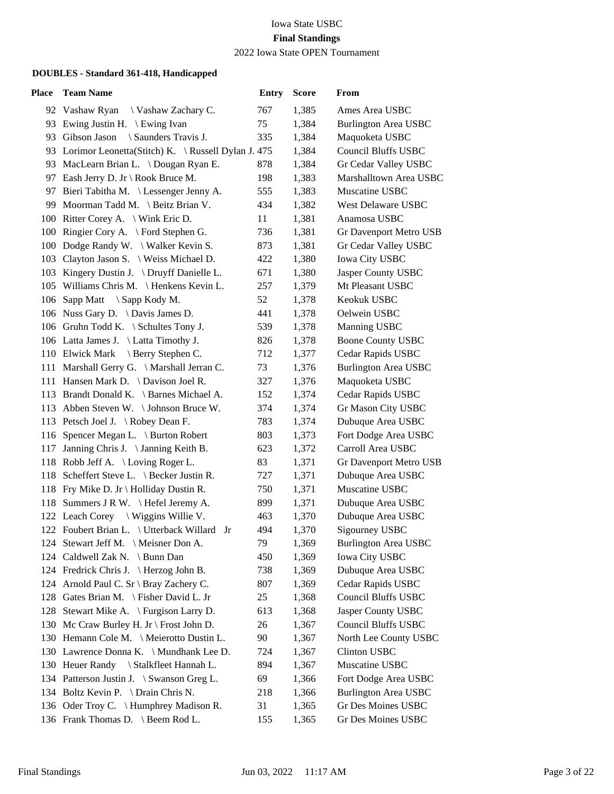#### Iowa State USBC **Final Standings** 2022 Iowa State OPEN Tournament

| Place | <b>Team Name</b>                                      | <b>Entry</b> | <b>Score</b> | From                        |
|-------|-------------------------------------------------------|--------------|--------------|-----------------------------|
|       | 92 Vashaw Ryan<br>\ Vashaw Zachary C.                 | 767          | 1,385        | Ames Area USBC              |
|       | 93 Ewing Justin H. \ Ewing Ivan                       | 75           | 1,384        | <b>Burlington Area USBC</b> |
|       | 93 Gibson Jason<br>\ Saunders Travis J.               | 335          | 1,384        | Maquoketa USBC              |
|       | 93 Lorimor Leonetta(Stitch) K. \ Russell Dylan J. 475 |              | 1,384        | <b>Council Bluffs USBC</b>  |
|       | 93 MacLearn Brian L. \ Dougan Ryan E.                 | 878          | 1,384        | Gr Cedar Valley USBC        |
| 97    | Eash Jerry D. Jr \ Rook Bruce M.                      | 198          | 1,383        | Marshalltown Area USBC      |
| 97    | Bieri Tabitha M. \ Lessenger Jenny A.                 | 555          | 1,383        | Muscatine USBC              |
|       | 99 Moorman Tadd M. \ Beitz Brian V.                   | 434          | 1,382        | West Delaware USBC          |
|       | 100 Ritter Corey A. \ Wink Eric D.                    | 11           | 1,381        | Anamosa USBC                |
|       | 100 Ringier Cory A. \ Ford Stephen G.                 | 736          | 1,381        | Gr Davenport Metro USB      |
|       | 100 Dodge Randy W. \ Walker Kevin S.                  | 873          | 1,381        | Gr Cedar Valley USBC        |
|       | 103 Clayton Jason S. \ Weiss Michael D.               | 422          | 1,380        | Iowa City USBC              |
|       | 103 Kingery Dustin J. \ Druyff Danielle L.            | 671          | 1,380        | Jasper County USBC          |
|       | 105 Williams Chris M. \ Henkens Kevin L.              | 257          | 1,379        | Mt Pleasant USBC            |
|       | 106 Sapp Matt \ Sapp Kody M.                          | 52           | 1,378        | Keokuk USBC                 |
|       | 106 Nuss Gary D. \ Davis James D.                     | 441          | 1,378        | Oelwein USBC                |
|       | 106 Gruhn Todd K. \ Schultes Tony J.                  | 539          | 1,378        | Manning USBC                |
|       | 106 Latta James J. \ Latta Timothy J.                 | 826          | 1,378        | <b>Boone County USBC</b>    |
|       | 110 Elwick Mark<br>Berry Stephen C.                   | 712          | 1,377        | Cedar Rapids USBC           |
|       | 111 Marshall Gerry G. \ Marshall Jerran C.            | 73           | 1,376        | <b>Burlington Area USBC</b> |
|       | 111 Hansen Mark D. \ Davison Joel R.                  | 327          | 1,376        | Maquoketa USBC              |
|       | 113 Brandt Donald K. \ Barnes Michael A.              | 152          | 1,374        | Cedar Rapids USBC           |
|       | 113 Abben Steven W. \ Johnson Bruce W.                | 374          | 1,374        | Gr Mason City USBC          |
|       | 113 Petsch Joel J. \Robey Dean F.                     | 783          | 1,374        | Dubuque Area USBC           |
|       | 116 Spencer Megan L. \ Burton Robert                  | 803          | 1,373        | Fort Dodge Area USBC        |
| 117   | Janning Chris J. \Janning Keith B.                    | 623          | 1,372        | Carroll Area USBC           |
|       | 118 Robb Jeff A. \ Loving Roger L.                    | 83           | 1,371        | Gr Davenport Metro USB      |
|       | 118 Scheffert Steve L. \ Becker Justin R.             | 727          | 1,371        | Dubuque Area USBC           |
|       | 118 Fry Mike D. Jr \ Holliday Dustin R.               | 750          | 1,371        | Muscatine USBC              |
|       | 118 Summers J R W. \ Hefel Jeremy A.                  | 899          | 1,371        | Dubuque Area USBC           |
|       | 122 Leach Corey \ Wiggins Willie V.                   | 463          | 1,370        | Dubuque Area USBC           |
|       | 122 Foubert Brian L. \ Utterback Willard<br>Jr        | 494          | 1,370        | Sigourney USBC              |
|       | 124 Stewart Jeff M. \ Meisner Don A.                  | 79           | 1,369        | <b>Burlington Area USBC</b> |
|       | 124 Caldwell Zak N. \ Bunn Dan                        | 450          | 1,369        | <b>Iowa City USBC</b>       |
|       | 124 Fredrick Chris J. \Herzog John B.                 | 738          | 1,369        | Dubuque Area USBC           |
|       | 124 Arnold Paul C. Sr \ Bray Zachery C.               | 807          | 1,369        | Cedar Rapids USBC           |
|       | 128 Gates Brian M. \ Fisher David L. Jr               | 25           | 1,368        | <b>Council Bluffs USBC</b>  |
|       | 128 Stewart Mike A. \ Furgison Larry D.               | 613          | 1,368        | Jasper County USBC          |
|       | 130 Mc Craw Burley H. Jr \ Frost John D.              | 26           | 1,367        | <b>Council Bluffs USBC</b>  |
|       | 130 Hemann Cole M. \ Meierotto Dustin L.              | 90           | 1,367        | North Lee County USBC       |
|       | 130 Lawrence Donna K. \ Mundhank Lee D.               | 724          | 1,367        | Clinton USBC                |
|       | 130 Heuer Randy \ Stalkfleet Hannah L.                | 894          | 1,367        | Muscatine USBC              |
|       | 134 Patterson Justin J. \ Swanson Greg L.             | 69           | 1,366        | Fort Dodge Area USBC        |
|       | 134 Boltz Kevin P. \ Drain Chris N.                   | 218          | 1,366        | <b>Burlington Area USBC</b> |
|       | 136 Oder Troy C. \ Humphrey Madison R.                | 31           | 1,365        | Gr Des Moines USBC          |
|       | 136 Frank Thomas D. \ Beem Rod L.                     | 155          | 1,365        | Gr Des Moines USBC          |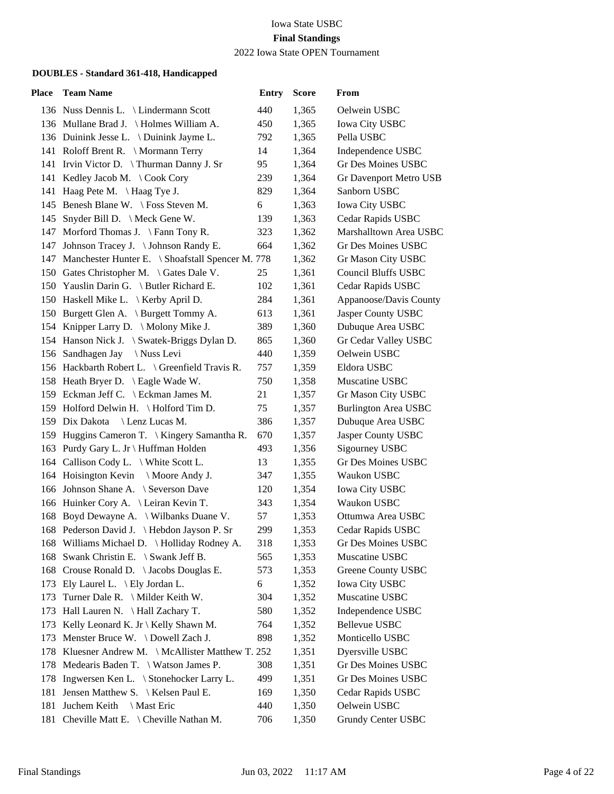2022 Iowa State OPEN Tournament

| <b>Place</b> | <b>Team Name</b>                                     | <b>Entry</b> | <b>Score</b> | From                      |
|--------------|------------------------------------------------------|--------------|--------------|---------------------------|
|              | 136 Nuss Dennis L. \ Lindermann Scott                | 440          | 1,365        | Oelwein USBC              |
|              | 136 Mullane Brad J. \ Holmes William A.              | 450          | 1,365        | Iowa City USBC            |
|              | 136 Duinink Jesse L. \ Duinink Jayme L.              | 792          | 1,365        | Pella USBC                |
|              | 141 Roloff Brent R. \ Mormann Terry                  | 14           | 1,364        | Independence USBC         |
|              | 141 Irvin Victor D. \Thurman Danny J. Sr             | 95           | 1,364        | <b>Gr Des Moines USBC</b> |
|              | 141 Kedley Jacob M. \Cook Cory                       | 239          | 1,364        | Gr Davenport Metro USB    |
|              | 141 Haag Pete M. \ Haag Tye J.                       | 829          | 1,364        | Sanborn USBC              |
|              | 145 Benesh Blane W. \ Foss Steven M.                 | 6            | 1,363        | Iowa City USBC            |
|              | 145 Snyder Bill D. \ Meck Gene W.                    | 139          | 1,363        | Cedar Rapids USBC         |
|              | 147 Morford Thomas J. \ Fann Tony R.                 | 323          | 1,362        | Marshalltown Area USBC    |
|              | 147 Johnson Tracey J. \Johnson Randy E.              | 664          | 1,362        | <b>Gr Des Moines USBC</b> |
|              | 147 Manchester Hunter E. \ Shoafstall Spencer M. 778 |              | 1,362        | Gr Mason City USBC        |
|              | 150 Gates Christopher M. \ Gates Dale V.             | 25           | 1,361        | Council Bluffs USBC       |
|              | 150 Yauslin Darin G. \ Butler Richard E.             | 102          | 1,361        | Cedar Rapids USBC         |
|              | 150 Haskell Mike L. \ Kerby April D.                 | 284          | 1,361        | Appanoose/Davis County    |
|              | 150 Burgett Glen A. \ Burgett Tommy A.               | 613          | 1,361        | Jasper County USBC        |
|              | 154 Knipper Larry D. \ Molony Mike J.                | 389          | 1,360        | Dubuque Area USBC         |
|              | 154 Hanson Nick J. \ Swatek-Briggs Dylan D.          | 865          | 1,360        | Gr Cedar Valley USBC      |
|              | 156 Sandhagen Jay<br>\ Nuss Levi                     | 440          | 1,359        | Oelwein USBC              |
|              | 156 Hackbarth Robert L. \ Greenfield Travis R.       | 757          | 1,359        | Eldora USBC               |
|              | 158 Heath Bryer D. \ Eagle Wade W.                   | 750          | 1,358        | Muscatine USBC            |
|              | 159 Eckman Jeff C. \ Eckman James M.                 | 21           | 1,357        | Gr Mason City USBC        |
|              | 159 Holford Delwin H. \ Holford Tim D.               | 75           | 1,357        | Burlington Area USBC      |
|              | 159 Dix Dakota<br>Lenz Lucas M.                      | 386          | 1,357        | Dubuque Area USBC         |
|              | 159 Huggins Cameron T. \ Kingery Samantha R.         | 670          | 1,357        | Jasper County USBC        |
|              | 163 Purdy Gary L. Jr \ Huffman Holden                | 493          | 1,356        | Sigourney USBC            |
|              | 164 Callison Cody L. \ White Scott L.                | 13           | 1,355        | <b>Gr Des Moines USBC</b> |
|              | 164 Hoisington Kevin \ Moore Andy J.                 | 347          | 1,355        | Waukon USBC               |
|              | 166 Johnson Shane A. \ Severson Dave                 | 120          | 1,354        | <b>Iowa City USBC</b>     |
|              | 166 Huinker Cory A. \ Leiran Kevin T.                | 343          | 1,354        | Waukon USBC               |
|              | 168 Boyd Dewayne A. \ Wilbanks Duane V.              | 57           | 1,353        | Ottumwa Area USBC         |
|              | 168 Pederson David J. \Hebdon Jayson P. Sr           | 299          | 1,353        | Cedar Rapids USBC         |
|              | 168 Williams Michael D. \ Holliday Rodney A.         | 318          | 1,353        | Gr Des Moines USBC        |
|              | 168 Swank Christin E. \ Swank Jeff B.                | 565          | 1,353        | Muscatine USBC            |
|              | 168 Crouse Ronald D. \Jacobs Douglas E.              | 573          | 1,353        | <b>Greene County USBC</b> |
|              | 173 Ely Laurel L. \ Ely Jordan L.                    | 6            | 1,352        | <b>Iowa City USBC</b>     |
|              | 173 Turner Dale R. \ Milder Keith W.                 | 304          | 1,352        | Muscatine USBC            |
|              | 173 Hall Lauren N. \ Hall Zachary T.                 | 580          | 1,352        | Independence USBC         |
| 173          | Kelly Leonard K. Jr \ Kelly Shawn M.                 | 764          | 1,352        | Bellevue USBC             |
| 173          | Menster Bruce W. $\Delta$ Dowell Zach J.             | 898          | 1,352        | Monticello USBC           |
|              | 178 Kluesner Andrew M. \ McAllister Matthew T. 252   |              | 1,351        | Dyersville USBC           |
| 178          | Medearis Baden T. \ Watson James P.                  | 308          | 1,351        | Gr Des Moines USBC        |
| 178          | Ingwersen Ken L. \ Stonehocker Larry L.              | 499          | 1,351        | Gr Des Moines USBC        |
| 181          | Jensen Matthew S. \ Kelsen Paul E.                   | 169          | 1,350        | Cedar Rapids USBC         |
| 181          | Juchem Keith<br>\ Mast Eric                          | 440          | 1,350        | Oelwein USBC              |
| 181          | Cheville Matt E. $\{$ Cheville Nathan M.             | 706          | 1,350        | Grundy Center USBC        |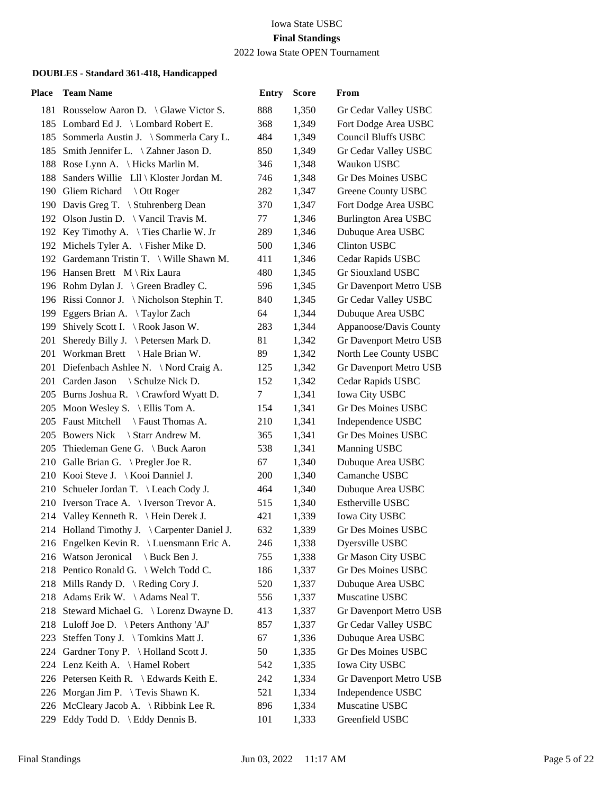#### Iowa State USBC **Final Standings** 2022 Iowa State OPEN Tournament

| Place | <b>Team Name</b>                             | <b>Entry</b> | <b>Score</b> | From                        |
|-------|----------------------------------------------|--------------|--------------|-----------------------------|
|       | 181 Rousselow Aaron D. \ Glawe Victor S.     | 888          | 1,350        | Gr Cedar Valley USBC        |
|       | 185 Lombard Ed J. \ Lombard Robert E.        | 368          | 1,349        | Fort Dodge Area USBC        |
|       | 185 Sommerla Austin J. \ Sommerla Cary L.    | 484          | 1,349        | <b>Council Bluffs USBC</b>  |
|       | 185 Smith Jennifer L. \ Zahner Jason D.      | 850          | 1,349        | Gr Cedar Valley USBC        |
|       | 188 Rose Lynn A. \ Hicks Marlin M.           | 346          | 1,348        | Waukon USBC                 |
| 188   | Sanders Willie Lll \ Kloster Jordan M.       | 746          | 1,348        | Gr Des Moines USBC          |
|       | 190 Gliem Richard<br>Ott Roger               | 282          | 1,347        | Greene County USBC          |
|       | 190 Davis Greg T. \ Stuhrenberg Dean         | 370          | 1,347        | Fort Dodge Area USBC        |
|       | 192 Olson Justin D. \ Vancil Travis M.       | 77           | 1,346        | <b>Burlington Area USBC</b> |
|       | 192 Key Timothy A. \Ties Charlie W. Jr       | 289          | 1,346        | Dubuque Area USBC           |
|       | 192 Michels Tyler A. \ Fisher Mike D.        | 500          | 1,346        | <b>Clinton USBC</b>         |
|       | 192 Gardemann Tristin T. \ Wille Shawn M.    | 411          | 1,346        | Cedar Rapids USBC           |
|       | 196 Hansen Brett M \ Rix Laura               | 480          | 1,345        | Gr Siouxland USBC           |
|       | 196 Rohm Dylan J. \ Green Bradley C.         | 596          | 1,345        | Gr Davenport Metro USB      |
|       | 196 Rissi Connor J. \Nicholson Stephin T.    | 840          | 1,345        | Gr Cedar Valley USBC        |
|       | 199 Eggers Brian A. \Taylor Zach             | 64           | 1,344        | Dubuque Area USBC           |
|       | 199 Shively Scott I. \ Rook Jason W.         | 283          | 1,344        | Appanoose/Davis County      |
| 201   | Sheredy Billy J. \ Petersen Mark D.          | 81           | 1,342        | Gr Davenport Metro USB      |
|       | 201 Workman Brett \ Hale Brian W.            | 89           | 1,342        | North Lee County USBC       |
|       | 201 Diefenbach Ashlee N. \ Nord Craig A.     | 125          | 1,342        | Gr Davenport Metro USB      |
|       | 201 Carden Jason \ Schulze Nick D.           | 152          | 1,342        | Cedar Rapids USBC           |
|       | 205 Burns Joshua R. \ Crawford Wyatt D.      | $\tau$       | 1,341        | <b>Iowa City USBC</b>       |
|       | 205 Moon Wesley S. \ Ellis Tom A.            | 154          | 1,341        | Gr Des Moines USBC          |
|       | 205 Faust Mitchell \ Faust Thomas A.         | 210          | 1,341        | Independence USBC           |
|       | 205 Bowers Nick<br>Starr Andrew M.           | 365          | 1,341        | <b>Gr Des Moines USBC</b>   |
|       | 205 Thiedeman Gene G. \ Buck Aaron           | 538          | 1,341        | Manning USBC                |
|       | 210 Galle Brian G. \ Pregler Joe R.          | 67           | 1,340        | Dubuque Area USBC           |
|       | 210 Kooi Steve J.   Kooi Danniel J.          | 200          | 1,340        | Camanche USBC               |
|       | 210 Schueler Jordan T. \ Leach Cody J.       | 464          | 1,340        | Dubuque Area USBC           |
|       | 210 Iverson Trace A. \ Iverson Trevor A.     | 515          | 1,340        | Estherville USBC            |
|       | 214 Valley Kenneth R. \ Hein Derek J.        | 421          | 1,339        | <b>Iowa City USBC</b>       |
|       | 214 Holland Timothy J. \ Carpenter Daniel J. | 632          | 1,339        | Gr Des Moines USBC          |
|       | 216 Engelken Kevin R. \ Luensmann Eric A.    | 246          | 1,338        | Dyersville USBC             |
|       | 216 Watson Jeronical<br>Buck Ben J.          | 755          | 1,338        | Gr Mason City USBC          |
|       | 218 Pentico Ronald G. \ Welch Todd C.        | 186          | 1,337        | Gr Des Moines USBC          |
|       | 218 Mills Randy D. \ Reding Cory J.          | 520          | 1,337        | Dubuque Area USBC           |
|       | 218 Adams Erik W. \Adams Neal T.             | 556          | 1,337        | Muscatine USBC              |
|       | 218 Steward Michael G. \ Lorenz Dwayne D.    | 413          | 1,337        | Gr Davenport Metro USB      |
|       | 218 Luloff Joe D. \ Peters Anthony 'AJ'      | 857          | 1,337        | Gr Cedar Valley USBC        |
|       | 223 Steffen Tony J. \Tomkins Matt J.         | 67           | 1,336        | Dubuque Area USBC           |
|       | 224 Gardner Tony P. \ Holland Scott J.       | 50           | 1,335        | <b>Gr Des Moines USBC</b>   |
|       | 224 Lenz Keith A. \Hamel Robert              | 542          | 1,335        | <b>Iowa City USBC</b>       |
|       | 226 Petersen Keith R. \ Edwards Keith E.     | 242          | 1,334        | Gr Davenport Metro USB      |
|       | 226 Morgan Jim P. \ Tevis Shawn K.           | 521          | 1,334        | Independence USBC           |
|       | 226 McCleary Jacob A. \ Ribbink Lee R.       | 896          | 1,334        | Muscatine USBC              |
|       | 229 Eddy Todd D. \ Eddy Dennis B.            | 101          | 1,333        | Greenfield USBC             |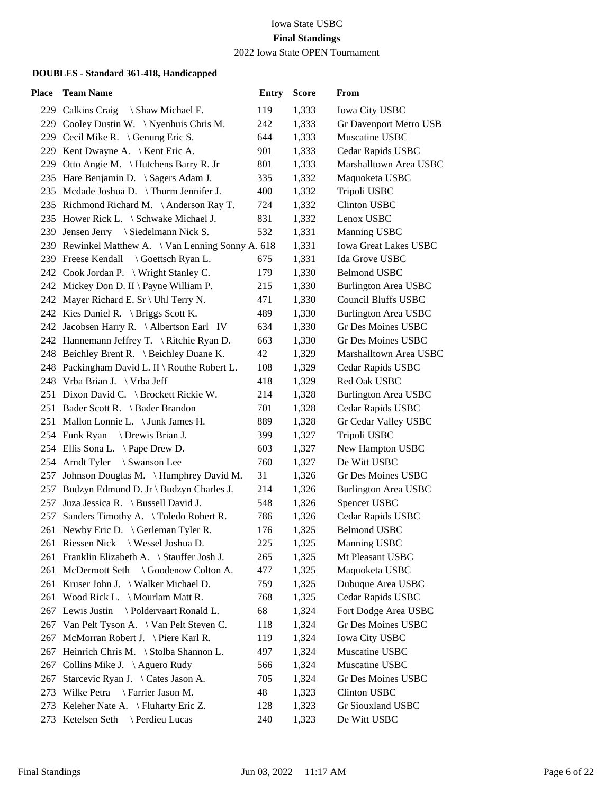2022 Iowa State OPEN Tournament

| Place | <b>Team Name</b>                                   | <b>Entry</b> | <b>Score</b> | From                         |
|-------|----------------------------------------------------|--------------|--------------|------------------------------|
|       | 229 Calkins Craig<br>\ Shaw Michael F.             | 119          | 1,333        | Iowa City USBC               |
|       | 229 Cooley Dustin W. \Nyenhuis Chris M.            | 242          | 1,333        | Gr Davenport Metro USB       |
|       | 229 Cecil Mike R. \ Genung Eric S.                 | 644          | 1,333        | Muscatine USBC               |
|       | 229 Kent Dwayne A. \ Kent Eric A.                  | 901          | 1,333        | Cedar Rapids USBC            |
|       | 229 Otto Angie M. \Hutchens Barry R. Jr            | 801          | 1,333        | Marshalltown Area USBC       |
|       | 235 Hare Benjamin D. \ Sagers Adam J.              | 335          | 1,332        | Maquoketa USBC               |
|       | 235 Mcdade Joshua D. \Thurm Jennifer J.            | 400          | 1,332        | Tripoli USBC                 |
|       | 235 Richmond Richard M. \Anderson Ray T.           | 724          | 1,332        | <b>Clinton USBC</b>          |
|       | 235 Hower Rick L. \ Schwake Michael J.             | 831          | 1,332        | Lenox USBC                   |
|       | 239 Jensen Jerry \ Siedelmann Nick S.              | 532          | 1,331        | Manning USBC                 |
|       | 239 Rewinkel Matthew A. \ Van Lenning Sonny A. 618 |              | 1,331        | <b>Iowa Great Lakes USBC</b> |
|       | 239 Freese Kendall \ Goettsch Ryan L.              | 675          | 1,331        | Ida Grove USBC               |
|       | 242 Cook Jordan P. \ Wright Stanley C.             | 179          | 1,330        | <b>Belmond USBC</b>          |
|       | 242 Mickey Don D. II \ Payne William P.            | 215          | 1,330        | <b>Burlington Area USBC</b>  |
|       | 242 Mayer Richard E. Sr \ Uhl Terry N.             | 471          | 1,330        | <b>Council Bluffs USBC</b>   |
|       | 242 Kies Daniel R. \ Briggs Scott K.               | 489          | 1,330        | <b>Burlington Area USBC</b>  |
|       | 242 Jacobsen Harry R. \Albertson Earl IV           | 634          | 1,330        | Gr Des Moines USBC           |
|       | 242 Hannemann Jeffrey T. \ Ritchie Ryan D.         | 663          | 1,330        | Gr Des Moines USBC           |
|       | 248 Beichley Brent R. \ Beichley Duane K.          | 42           | 1,329        | Marshalltown Area USBC       |
|       | 248 Packingham David L. II \ Routhe Robert L.      | 108          | 1,329        | Cedar Rapids USBC            |
|       | 248 Vrba Brian J. \ Vrba Jeff                      | 418          | 1,329        | Red Oak USBC                 |
|       | 251 Dixon David C. \ Brockett Rickie W.            | 214          | 1,328        | <b>Burlington Area USBC</b>  |
|       | 251 Bader Scott R. \ Bader Brandon                 | 701          | 1,328        | Cedar Rapids USBC            |
|       | 251 Mallon Lonnie L. \ Junk James H.               | 889          | 1,328        | Gr Cedar Valley USBC         |
|       | 254 Funk Ryan \ Drewis Brian J.                    | 399          | 1,327        | Tripoli USBC                 |
|       | 254 Ellis Sona L. \Pape Drew D.                    | 603          | 1,327        | New Hampton USBC             |
|       | 254 Arndt Tyler<br>\ Swanson Lee                   | 760          | 1,327        | De Witt USBC                 |
| 257   | Johnson Douglas M. \Humphrey David M.              | 31           | 1,326        | Gr Des Moines USBC           |
|       | 257 Budzyn Edmund D. Jr \ Budzyn Charles J.        | 214          | 1,326        | <b>Burlington Area USBC</b>  |
|       | 257 Juza Jessica R. \ Bussell David J.             | 548          | 1,326        | Spencer USBC                 |
| 257   | Sanders Timothy A. \Toledo Robert R.               | 786          | 1,326        | Cedar Rapids USBC            |
|       | 261 Newby Eric D. \ Gerleman Tyler R.              | 176          | 1,325        | <b>Belmond USBC</b>          |
|       | 261 Riessen Nick<br>\ Wessel Joshua D.             | 225          | 1,325        | Manning USBC                 |
|       | 261 Franklin Elizabeth A. \ Stauffer Josh J.       | 265          | 1,325        | Mt Pleasant USBC             |
| 261   | McDermott Seth \ Goodenow Colton A.                | 477          | 1,325        | Maquoketa USBC               |
|       | 261 Kruser John J. \Walker Michael D.              | 759          | 1,325        | Dubuque Area USBC            |
| 261   | Wood Rick L. $\backslash$ Mourlam Matt R.          | 768          | 1,325        | Cedar Rapids USBC            |
| 267   | Lewis Justin<br>\ Poldervaart Ronald L.            | 68           | 1,324        | Fort Dodge Area USBC         |
| 267   | Van Pelt Tyson A. \ Van Pelt Steven C.             | 118          | 1,324        | Gr Des Moines USBC           |
| 267   | McMorran Robert J. \ Piere Karl R.                 | 119          | 1,324        | Iowa City USBC               |
| 267   | Heinrich Chris M. \ Stolba Shannon L.              | 497          | 1,324        | Muscatine USBC               |
| 267   | Collins Mike J. $\ \Delta$ guero Rudy              | 566          | 1,324        | Muscatine USBC               |
| 267   | Starcevic Ryan J. \Cates Jason A.                  | 705          | 1,324        | Gr Des Moines USBC           |
| 273   | Wilke Petra<br>\ Farrier Jason M.                  | 48           | 1,323        | Clinton USBC                 |
| 273   | Keleher Nate A. $\{$ Fluharty Eric Z.              | 128          | 1,323        | Gr Siouxland USBC            |
| 273   | Ketelsen Seth \ Perdieu Lucas                      | 240          | 1,323        | De Witt USBC                 |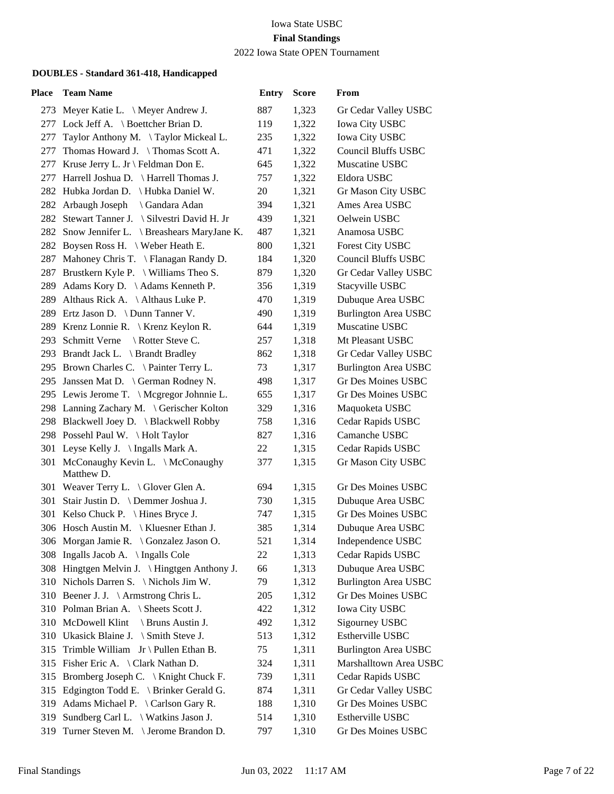2022 Iowa State OPEN Tournament

| <b>Place</b> | <b>Team Name</b>                                   | <b>Entry</b> | <b>Score</b> | From                        |
|--------------|----------------------------------------------------|--------------|--------------|-----------------------------|
|              | 273 Meyer Katie L. \ Meyer Andrew J.               | 887          | 1,323        | Gr Cedar Valley USBC        |
|              | 277 Lock Jeff A. \ Boettcher Brian D.              | 119          | 1,322        | <b>Iowa City USBC</b>       |
| 277          | Taylor Anthony M. \Taylor Mickeal L.               | 235          | 1,322        | Iowa City USBC              |
| 277          | Thomas Howard J. \Thomas Scott A.                  | 471          | 1,322        | <b>Council Bluffs USBC</b>  |
|              | 277 Kruse Jerry L. Jr \ Feldman Don E.             | 645          | 1,322        | Muscatine USBC              |
| 277          | Harrell Joshua D. \ Harrell Thomas J.              | 757          | 1,322        | Eldora USBC                 |
|              | 282 Hubka Jordan D. \ Hubka Daniel W.              | 20           | 1,321        | Gr Mason City USBC          |
|              | 282 Arbaugh Joseph<br>\ Gandara Adan               | 394          | 1,321        | Ames Area USBC              |
|              | 282 Stewart Tanner J. \ Silvestri David H. Jr      | 439          | 1,321        | Oelwein USBC                |
|              | 282 Snow Jennifer L. \ Breashears MaryJane K.      | 487          | 1,321        | Anamosa USBC                |
| 282          | Boysen Ross H. \ Weber Heath E.                    | 800          | 1,321        | Forest City USBC            |
| 287          | Mahoney Chris T. \ Flanagan Randy D.               | 184          | 1,320        | <b>Council Bluffs USBC</b>  |
|              | 287 Brustkern Kyle P. \ Williams Theo S.           | 879          | 1,320        | Gr Cedar Valley USBC        |
| 289          | Adams Kory D. \Adams Kenneth P.                    | 356          | 1,319        | Stacyville USBC             |
| 289          | Althaus Rick A. \ Althaus Luke P.                  | 470          | 1,319        | Dubuque Area USBC           |
|              | 289 Ertz Jason D. \ Dunn Tanner V.                 | 490          | 1,319        | <b>Burlington Area USBC</b> |
|              | 289 Krenz Lonnie R.   Krenz Keylon R.              | 644          | 1,319        | Muscatine USBC              |
|              | 293 Schmitt Verne<br>\ Rotter Steve C.             | 257          | 1,318        | Mt Pleasant USBC            |
|              | 293 Brandt Jack L. \ Brandt Bradley                | 862          | 1,318        | Gr Cedar Valley USBC        |
|              | 295 Brown Charles C. \ Painter Terry L.            | 73           | 1,317        | <b>Burlington Area USBC</b> |
|              | 295 Janssen Mat D. \ German Rodney N.              | 498          | 1,317        | Gr Des Moines USBC          |
|              | 295 Lewis Jerome T. \ Mcgregor Johnnie L.          | 655          | 1,317        | Gr Des Moines USBC          |
|              | 298 Lanning Zachary M. \ Gerischer Kolton          | 329          | 1,316        | Maquoketa USBC              |
|              | 298 Blackwell Joey D. \ Blackwell Robby            | 758          | 1,316        | Cedar Rapids USBC           |
|              | 298 Possehl Paul W. \Holt Taylor                   | 827          | 1,316        | Camanche USBC               |
|              | 301 Leyse Kelly J. \ Ingalls Mark A.               | 22           | 1,315        | Cedar Rapids USBC           |
|              | 301 McConaughy Kevin L. \ McConaughy<br>Matthew D. | 377          | 1,315        | Gr Mason City USBC          |
|              | 301 Weaver Terry L. \ Glover Glen A.               | 694          | 1,315        | Gr Des Moines USBC          |
|              | 301 Stair Justin D. \ Demmer Joshua J.             | 730          | 1,315        | Dubuque Area USBC           |
|              | 301 Kelso Chuck P. \ Hines Bryce J.                | 747          | 1,315        | Gr Des Moines USBC          |
|              | 306 Hosch Austin M.   Kluesner Ethan J.            | 385          | 1,314        | Dubuque Area USBC           |
|              | 306 Morgan Jamie R. \ Gonzalez Jason O.            | 521          | 1,314        | Independence USBC           |
|              | 308 Ingalls Jacob A. \ Ingalls Cole                | 22           | 1,313        | Cedar Rapids USBC           |
|              | 308 Hingtgen Melvin J. \ Hingtgen Anthony J.       | 66           | 1,313        | Dubuque Area USBC           |
|              | 310 Nichols Darren S. \Nichols Jim W.              | 79           | 1,312        | <b>Burlington Area USBC</b> |
|              | 310 Beener J. J. \ Armstrong Chris L.              | 205          | 1,312        | Gr Des Moines USBC          |
|              | 310 Polman Brian A. \ Sheets Scott J.              | 422          | 1,312        | Iowa City USBC              |
|              | 310 McDowell Klint<br>\ Bruns Austin J.            | 492          | 1,312        | Sigourney USBC              |
|              | 310 Ukasick Blaine J. \ Smith Steve J.             | 513          | 1,312        | Estherville USBC            |
| 315          | Trimble William $Jr \setminus$ Pullen Ethan B.     | 75           | 1,311        | <b>Burlington Area USBC</b> |
|              | 315 Fisher Eric A. \ Clark Nathan D.               | 324          | 1,311        | Marshalltown Area USBC      |
|              | 315 Bromberg Joseph C. \ Knight Chuck F.           | 739          | 1,311        | Cedar Rapids USBC           |
| 315          | Edgington Todd E. \ Brinker Gerald G.              | 874          | 1,311        | Gr Cedar Valley USBC        |
| 319          | Adams Michael P. \ Carlson Gary R.                 | 188          | 1,310        | Gr Des Moines USBC          |
| 319          | Sundberg Carl L. \ Watkins Jason J.                | 514          | 1,310        | Estherville USBC            |
| 319          | Turner Steven M. \ Jerome Brandon D.               | 797          | 1,310        | Gr Des Moines USBC          |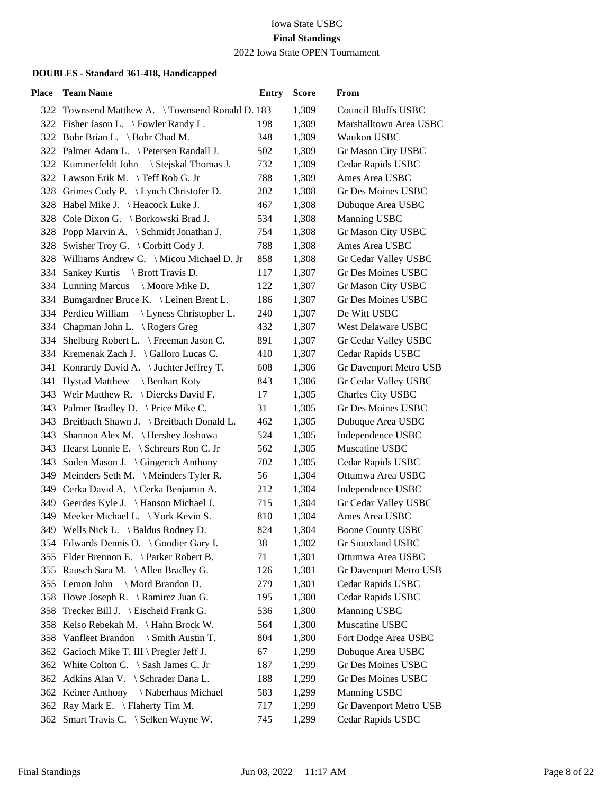### 2022 Iowa State OPEN Tournament

| Place | <b>Team Name</b>                                | <b>Entry</b> | <b>Score</b> | From                       |
|-------|-------------------------------------------------|--------------|--------------|----------------------------|
|       | 322 Townsend Matthew A. \Townsend Ronald D. 183 |              | 1,309        | <b>Council Bluffs USBC</b> |
|       | 322 Fisher Jason L. \ Fowler Randy L.           | 198          | 1,309        | Marshalltown Area USBC     |
|       | 322 Bohr Brian L. \ Bohr Chad M.                | 348          | 1,309        | Waukon USBC                |
|       | 322 Palmer Adam L. \ Petersen Randall J.        | 502          | 1,309        | Gr Mason City USBC         |
|       | 322 Kummerfeldt John \ Stejskal Thomas J.       | 732          | 1,309        | Cedar Rapids USBC          |
|       | 322 Lawson Erik M. \Teff Rob G. Jr              | 788          | 1,309        | Ames Area USBC             |
|       | 328 Grimes Cody P. \ Lynch Christofer D.        | 202          | 1,308        | Gr Des Moines USBC         |
|       | 328 Habel Mike J. \Heacock Luke J.              | 467          | 1,308        | Dubuque Area USBC          |
|       | 328 Cole Dixon G. \ Borkowski Brad J.           | 534          | 1,308        | Manning USBC               |
|       | 328 Popp Marvin A. \ Schmidt Jonathan J.        | 754          | 1,308        | Gr Mason City USBC         |
|       | 328 Swisher Troy G. \ Corbitt Cody J.           | 788          | 1,308        | Ames Area USBC             |
|       | 328 Williams Andrew C. \ Micou Michael D. Jr    | 858          | 1,308        | Gr Cedar Valley USBC       |
|       | 334 Sankey Kurtis \ Brott Travis D.             | 117          | 1,307        | <b>Gr Des Moines USBC</b>  |
|       | 334 Lunning Marcus \ Moore Mike D.              | 122          | 1,307        | Gr Mason City USBC         |
|       | 334 Bumgardner Bruce K. \ Leinen Brent L.       | 186          | 1,307        | <b>Gr Des Moines USBC</b>  |
|       | 334 Perdieu William<br>Lyness Christopher L.    | 240          | 1,307        | De Witt USBC               |
|       | 334 Chapman John L. \ Rogers Greg               | 432          | 1,307        | West Delaware USBC         |
|       | 334 Shelburg Robert L. \ Freeman Jason C.       | 891          | 1,307        | Gr Cedar Valley USBC       |
|       | 334 Kremenak Zach J. \ Galloro Lucas C.         | 410          | 1,307        | Cedar Rapids USBC          |
|       | 341 Konrardy David A. \ Juchter Jeffrey T.      | 608          | 1,306        | Gr Davenport Metro USB     |
|       | 341 Hystad Matthew \ Benhart Koty               | 843          | 1,306        | Gr Cedar Valley USBC       |
|       | 343 Weir Matthew R. \ Diercks David F.          | 17           | 1,305        | Charles City USBC          |
|       | 343 Palmer Bradley D. \ Price Mike C.           | 31           | 1,305        | Gr Des Moines USBC         |
|       | 343 Breitbach Shawn J. \ Breitbach Donald L.    | 462          | 1,305        | Dubuque Area USBC          |
|       | 343 Shannon Alex M. \ Hershey Joshuwa           | 524          | 1,305        | Independence USBC          |
|       | 343 Hearst Lonnie E. \ Schreurs Ron C. Jr       | 562          | 1,305        | Muscatine USBC             |
|       | 343 Soden Mason J. \ Gingerich Anthony          | 702          | 1,305        | Cedar Rapids USBC          |
|       | 349 Meinders Seth M. \ Meinders Tyler R.        | 56           | 1,304        | Ottumwa Area USBC          |
|       | 349 Cerka David A. \ Cerka Benjamin A.          | 212          | 1,304        | Independence USBC          |
|       | 349 Geerdes Kyle J. \ Hanson Michael J.         | 715          | 1,304        | Gr Cedar Valley USBC       |
|       | 349 Meeker Michael L. \ York Kevin S.           | 810          | 1,304        | Ames Area USBC             |
|       | 349 Wells Nick L. \ Baldus Rodney D.            | 824          | 1,304        | <b>Boone County USBC</b>   |
|       | 354 Edwards Dennis O. \ Goodier Gary I.         | 38           | 1,302        | Gr Siouxland USBC          |
|       | 355 Elder Brennon E. \Parker Robert B.          | 71           | 1,301        | Ottumwa Area USBC          |
|       | 355 Rausch Sara M. \Allen Bradley G.            | 126          | 1,301        | Gr Davenport Metro USB     |
|       | 355 Lemon John \ Mord Brandon D.                | 279          | 1,301        | Cedar Rapids USBC          |
|       | 358 Howe Joseph R. \ Ramirez Juan G.            | 195          | 1,300        | Cedar Rapids USBC          |
| 358   | Trecker Bill J. \ Eischeid Frank G.             | 536          | 1,300        | Manning USBC               |
|       | 358 Kelso Rebekah M. \Hahn Brock W.             | 564          | 1,300        | Muscatine USBC             |
|       | 358 Vanfleet Brandon<br>\ Smith Austin T.       | 804          | 1,300        | Fort Dodge Area USBC       |
|       | 362 Gacioch Mike T. III \ Pregler Jeff J.       | 67           | 1,299        | Dubuque Area USBC          |
|       | 362 White Colton C. \ Sash James C. Jr          | 187          | 1,299        | <b>Gr Des Moines USBC</b>  |
|       | 362 Adkins Alan V. \ Schrader Dana L.           | 188          | 1,299        | Gr Des Moines USBC         |
|       | 362 Keiner Anthony \Naberhaus Michael           | 583          | 1,299        | Manning USBC               |
|       | 362 Ray Mark E. \ Flaherty Tim M.               | 717          | 1,299        | Gr Davenport Metro USB     |
|       | 362 Smart Travis C. \ Selken Wayne W.           | 745          | 1,299        | Cedar Rapids USBC          |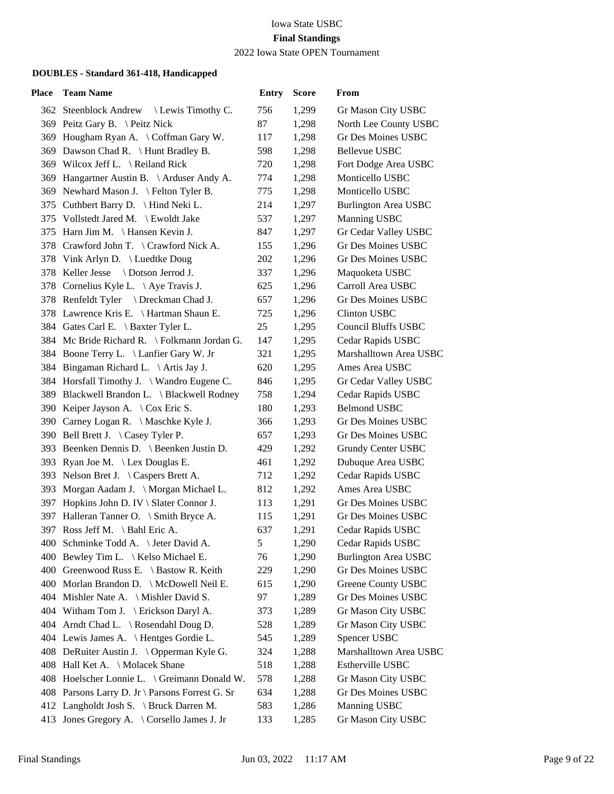#### Iowa State USBC **Final Standings** 2022 Iowa State OPEN Tournament

| Place | <b>Team Name</b>                                | <b>Entry</b> | <b>Score</b> | From                        |
|-------|-------------------------------------------------|--------------|--------------|-----------------------------|
|       | 362 Steenblock Andrew<br>Lewis Timothy C.       | 756          | 1,299        | Gr Mason City USBC          |
|       | 369 Peitz Gary B. \ Peitz Nick                  | 87           | 1,298        | North Lee County USBC       |
|       | 369 Hougham Ryan A. \Coffman Gary W.            | 117          | 1,298        | Gr Des Moines USBC          |
|       | 369 Dawson Chad R. \ Hunt Bradley B.            | 598          | 1,298        | <b>Bellevue USBC</b>        |
|       | 369 Wilcox Jeff L. \ Reiland Rick               | 720          | 1,298        | Fort Dodge Area USBC        |
|       | 369 Hangartner Austin B. \ Arduser Andy A.      | 774          | 1,298        | Monticello USBC             |
|       | 369 Newhard Mason J. \ Felton Tyler B.          | 775          | 1,298        | Monticello USBC             |
|       | 375 Cuthbert Barry D. \ Hind Neki L.            | 214          | 1,297        | <b>Burlington Area USBC</b> |
|       | 375 Vollstedt Jared M. \ Ewoldt Jake            | 537          | 1,297        | Manning USBC                |
|       | 375 Harn Jim M. \ Hansen Kevin J.               | 847          | 1,297        | Gr Cedar Valley USBC        |
|       | 378 Crawford John T. \ Crawford Nick A.         | 155          | 1,296        | Gr Des Moines USBC          |
|       | 378 Vink Arlyn D. \ Luedtke Doug                | 202          | 1,296        | Gr Des Moines USBC          |
|       | 378 Keller Jesse \ Dotson Jerrod J.             | 337          | 1,296        | Maquoketa USBC              |
|       | 378 Cornelius Kyle L. \ Aye Travis J.           | 625          | 1,296        | Carroll Area USBC           |
|       | 378 Renfeldt Tyler \ Dreckman Chad J.           | 657          | 1,296        | <b>Gr Des Moines USBC</b>   |
|       | 378 Lawrence Kris E. \ Hartman Shaun E.         | 725          | 1,296        | Clinton USBC                |
|       | 384 Gates Carl E. \ Baxter Tyler L.             | 25           | 1,295        | <b>Council Bluffs USBC</b>  |
|       | 384 Mc Bride Richard R. \ Folkmann Jordan G.    | 147          | 1,295        | Cedar Rapids USBC           |
|       | 384 Boone Terry L. \ Lanfier Gary W. Jr         | 321          | 1,295        | Marshalltown Area USBC      |
|       | 384 Bingaman Richard L. \ Artis Jay J.          | 620          | 1,295        | Ames Area USBC              |
|       | 384 Horsfall Timothy J. \Wandro Eugene C.       | 846          | 1,295        | Gr Cedar Valley USBC        |
|       | 389 Blackwell Brandon L. \ Blackwell Rodney     | 758          | 1,294        | Cedar Rapids USBC           |
|       | 390 Keiper Jayson A. \ Cox Eric S.              | 180          | 1,293        | <b>Belmond USBC</b>         |
|       | 390 Carney Logan R. \ Maschke Kyle J.           | 366          | 1,293        | <b>Gr Des Moines USBC</b>   |
|       | 390 Bell Brett J. \Casey Tyler P.               | 657          | 1,293        | <b>Gr Des Moines USBC</b>   |
|       | 393 Beenken Dennis D. \ Beenken Justin D.       | 429          | 1,292        | Grundy Center USBC          |
| 393   | Ryan Joe M. \ Lex Douglas E.                    | 461          | 1,292        | Dubuque Area USBC           |
|       | 393 Nelson Bret J. \ Caspers Brett A.           | 712          | 1,292        | Cedar Rapids USBC           |
|       | 393 Morgan Aadam J. \ Morgan Michael L.         | 812          | 1,292        | Ames Area USBC              |
|       | 397 Hopkins John D. IV \ Slater Connor J.       | 113          | 1,291        | Gr Des Moines USBC          |
|       | 397 Halleran Tanner O. \ Smith Bryce A.         | 115          | 1,291        | Gr Des Moines USBC          |
|       | 397 Ross Jeff M. \ Bahl Eric A.                 | 637          | 1,291        | Cedar Rapids USBC           |
|       | 400 Schminke Todd A. \ Jeter David A.           | 5            | 1,290        | Cedar Rapids USBC           |
|       | 400 Bewley Tim L. \ Kelso Michael E.            | 76           | 1,290        | <b>Burlington Area USBC</b> |
|       | 400 Greenwood Russ E. \ Bastow R. Keith         | 229          | 1,290        | Gr Des Moines USBC          |
|       | 400 Morlan Brandon D. \ McDowell Neil E.        | 615          | 1,290        | Greene County USBC          |
|       | 404 Mishler Nate A. \ Mishler David S.          | 97           | 1,289        | Gr Des Moines USBC          |
|       | 404 Witham Tom J. \ Erickson Daryl A.           | 373          | 1,289        | Gr Mason City USBC          |
|       | 404 Arndt Chad L. \ Rosendahl Doug D.           | 528          | 1,289        | Gr Mason City USBC          |
|       | 404 Lewis James A. \Hentges Gordie L.           | 545          | 1,289        | Spencer USBC                |
|       | 408 DeRuiter Austin J. \ Opperman Kyle G.       | 324          | 1,288        | Marshalltown Area USBC      |
|       | 408 Hall Ket A. \ Molacek Shane                 | 518          | 1,288        | Estherville USBC            |
|       | 408 Hoelscher Lonnie L. \ Greimann Donald W.    | 578          | 1,288        | Gr Mason City USBC          |
|       | 408 Parsons Larry D. Jr \ Parsons Forrest G. Sr | 634          | 1,288        | Gr Des Moines USBC          |
|       | 412 Langholdt Josh S. \ Bruck Darren M.         | 583          | 1,286        | Manning USBC                |
|       | 413 Jones Gregory A. \ Corsello James J. Jr     | 133          | 1,285        | Gr Mason City USBC          |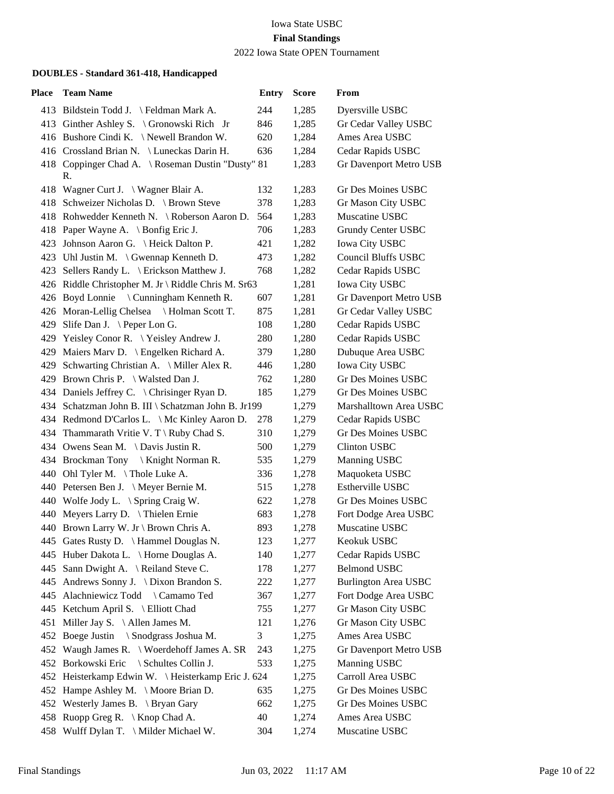2022 Iowa State OPEN Tournament

| Place | <b>Team Name</b>                                        | <b>Entry</b> | <b>Score</b> | From                        |
|-------|---------------------------------------------------------|--------------|--------------|-----------------------------|
|       | 413 Bildstein Todd J. \Feldman Mark A.                  | 244          | 1,285        | Dyersville USBC             |
|       | 413 Ginther Ashley S. \ Gronowski Rich Jr               | 846          | 1,285        | Gr Cedar Valley USBC        |
|       | 416 Bushore Cindi K. \Newell Brandon W.                 | 620          | 1,284        | Ames Area USBC              |
|       | 416 Crossland Brian N. \ Luneckas Darin H.              | 636          | 1,284        | Cedar Rapids USBC           |
|       | 418 Coppinger Chad A. \ Roseman Dustin "Dusty" 81<br>R. |              | 1,283        | Gr Davenport Metro USB      |
|       | 418 Wagner Curt J. \ Wagner Blair A.                    | 132          | 1,283        | Gr Des Moines USBC          |
|       | 418 Schweizer Nicholas D. \ Brown Steve                 | 378          | 1,283        | Gr Mason City USBC          |
|       | 418 Rohwedder Kenneth N. \ Roberson Aaron D.            | 564          | 1,283        | Muscatine USBC              |
|       | 418 Paper Wayne A. \ Bonfig Eric J.                     | 706          | 1,283        | Grundy Center USBC          |
|       | 423 Johnson Aaron G. \ Heick Dalton P.                  | 421          | 1,282        | Iowa City USBC              |
|       | 423 Uhl Justin M. $\langle$ Gwennap Kenneth D.          | 473          | 1,282        | <b>Council Bluffs USBC</b>  |
|       | 423 Sellers Randy L. \ Erickson Matthew J.              | 768          | 1,282        | Cedar Rapids USBC           |
|       | 426 Riddle Christopher M. Jr \ Riddle Chris M. Sr63     |              | 1,281        | <b>Iowa City USBC</b>       |
|       | 426 Boyd Lonnie \ Cunningham Kenneth R.                 | 607          | 1,281        | Gr Davenport Metro USB      |
|       | 426 Moran-Lellig Chelsea \ Holman Scott T.              | 875          | 1,281        | Gr Cedar Valley USBC        |
|       | 429 Slife Dan J. \ Peper Lon G.                         | 108          | 1,280        | Cedar Rapids USBC           |
|       | 429 Yeisley Conor R. \Yeisley Andrew J.                 | 280          | 1,280        | Cedar Rapids USBC           |
|       | 429 Maiers Marv D. \ Engelken Richard A.                | 379          | 1,280        | Dubuque Area USBC           |
| 429   | Schwarting Christian A. \ Miller Alex R.                | 446          | 1,280        | Iowa City USBC              |
|       | 429 Brown Chris P. \ Walsted Dan J.                     | 762          | 1,280        | <b>Gr Des Moines USBC</b>   |
|       | 434 Daniels Jeffrey C. \ Chrisinger Ryan D.             | 185          | 1,279        | Gr Des Moines USBC          |
|       | 434 Schatzman John B. III \ Schatzman John B. Jr199     |              | 1,279        | Marshalltown Area USBC      |
|       | 434 Redmond D'Carlos L. \ Mc Kinley Aaron D.            | 278          | 1,279        | Cedar Rapids USBC           |
|       | 434 Thammarath Vritie V. T \ Ruby Chad S.               | 310          | 1,279        | Gr Des Moines USBC          |
|       | 434 Owens Sean M. \Davis Justin R.                      | 500          | 1,279        | <b>Clinton USBC</b>         |
|       | 434 Brockman Tony \ Knight Norman R.                    | 535          | 1,279        | Manning USBC                |
|       | 440 Ohl Tyler M. \Thole Luke A.                         | 336          | 1,278        | Maquoketa USBC              |
|       | 440 Petersen Ben J. \ Meyer Bernie M.                   | 515          | 1,278        | Estherville USBC            |
|       | 440 Wolfe Jody L. \ Spring Craig W.                     | 622          | 1,278        | Gr Des Moines USBC          |
|       | 440 Meyers Larry D. \Thielen Ernie                      | 683          | 1,278        | Fort Dodge Area USBC        |
|       | 440 Brown Larry W. Jr \ Brown Chris A.                  | 893          | 1,278        | Muscatine USBC              |
|       | 445 Gates Rusty D. \ Hammel Douglas N.                  | 123          | 1,277        | Keokuk USBC                 |
|       | 445 Huber Dakota L. \ Horne Douglas A.                  | 140          | 1,277        | Cedar Rapids USBC           |
| 445   | Sann Dwight A. \ Reiland Steve C.                       | 178          | 1,277        | <b>Belmond USBC</b>         |
| 445   | Andrews Sonny J. \ Dixon Brandon S.                     | 222          | 1,277        | <b>Burlington Area USBC</b> |
|       | 445 Alachniewicz Todd \ Camamo Ted                      | 367          | 1,277        | Fort Dodge Area USBC        |
|       | 445 Ketchum April S. \ Elliott Chad                     | 755          | 1,277        | Gr Mason City USBC          |
| 451   | Miller Jay S. $\setminus$ Allen James M.                | 121          | 1,276        | Gr Mason City USBC          |
| 452   | Boege Justin \ Snodgrass Joshua M.                      | 3            | 1,275        | Ames Area USBC              |
| 452   | Waugh James R. $\setminus$ Woerdehoff James A. SR       | 243          | 1,275        | Gr Davenport Metro USB      |
|       | 452 Borkowski Eric \ Schultes Collin J.                 | 533          | 1,275        | Manning USBC                |
|       | 452 Heisterkamp Edwin W. \Heisterkamp Eric J. 624       |              | 1,275        | Carroll Area USBC           |
| 452   | Hampe Ashley M. \ Moore Brian D.                        | 635          | 1,275        | Gr Des Moines USBC          |
|       | 452 Westerly James B. \ Bryan Gary                      | 662          | 1,275        | Gr Des Moines USBC          |
|       | 458 Ruopp Greg R. \ Knop Chad A.                        | 40           | 1,274        | Ames Area USBC              |
|       | 458 Wulff Dylan T. \ Milder Michael W.                  | 304          | 1,274        | Muscatine USBC              |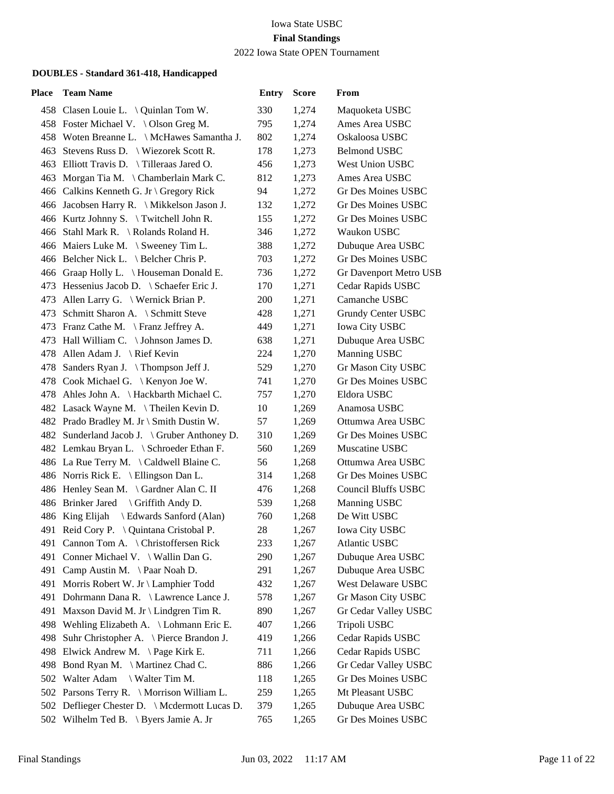2022 Iowa State OPEN Tournament

| Place | <b>Team Name</b>                              | <b>Entry</b> | <b>Score</b> | From                       |
|-------|-----------------------------------------------|--------------|--------------|----------------------------|
|       | 458 Clasen Louie L. \ Quinlan Tom W.          | 330          | 1,274        | Maquoketa USBC             |
|       | 458 Foster Michael V. \ Olson Greg M.         | 795          | 1,274        | Ames Area USBC             |
|       | 458 Woten Breanne L. \ McHawes Samantha J.    | 802          | 1,274        | Oskaloosa USBC             |
|       | 463 Stevens Russ D.   Wiezorek Scott R.       | 178          | 1,273        | <b>Belmond USBC</b>        |
|       | 463 Elliott Travis D. \ Tilleraas Jared O.    | 456          | 1,273        | West Union USBC            |
|       | 463 Morgan Tia M. \ Chamberlain Mark C.       | 812          | 1,273        | Ames Area USBC             |
|       | 466 Calkins Kenneth G. Jr \ Gregory Rick      | 94           | 1,272        | <b>Gr Des Moines USBC</b>  |
|       | 466 Jacobsen Harry R. \ Mikkelson Jason J.    | 132          | 1,272        | <b>Gr Des Moines USBC</b>  |
|       | 466 Kurtz Johnny S. \Twitchell John R.        | 155          | 1,272        | <b>Gr Des Moines USBC</b>  |
|       | 466 Stahl Mark R. \ Rolands Roland H.         | 346          | 1,272        | Waukon USBC                |
|       | 466 Maiers Luke M. \ Sweeney Tim L.           | 388          | 1,272        | Dubuque Area USBC          |
|       | 466 Belcher Nick L. \ Belcher Chris P.        | 703          | 1,272        | <b>Gr Des Moines USBC</b>  |
|       | 466 Graap Holly L. \ Houseman Donald E.       | 736          | 1,272        | Gr Davenport Metro USB     |
|       | 473 Hessenius Jacob D. \ Schaefer Eric J.     | 170          | 1,271        | Cedar Rapids USBC          |
|       | 473 Allen Larry G. \ Wernick Brian P.         | 200          | 1,271        | Camanche USBC              |
|       | 473 Schmitt Sharon A. \ Schmitt Steve         | 428          | 1,271        | Grundy Center USBC         |
|       | 473 Franz Cathe M. \ Franz Jeffrey A.         | 449          | 1,271        | Iowa City USBC             |
|       | 473 Hall William C. \ Johnson James D.        | 638          | 1,271        | Dubuque Area USBC          |
|       | 478 Allen Adam J. \ Rief Kevin                | 224          | 1,270        | Manning USBC               |
|       | 478 Sanders Ryan J. \Thompson Jeff J.         | 529          | 1,270        | Gr Mason City USBC         |
|       | 478 Cook Michael G. \ Kenyon Joe W.           | 741          | 1,270        | <b>Gr Des Moines USBC</b>  |
|       | 478 Ahles John A. \ Hackbarth Michael C.      | 757          | 1,270        | Eldora USBC                |
|       | 482 Lasack Wayne M. \Theilen Kevin D.         | 10           | 1,269        | Anamosa USBC               |
|       | 482 Prado Bradley M. Jr \ Smith Dustin W.     | 57           | 1,269        | Ottumwa Area USBC          |
|       | 482 Sunderland Jacob J. \ Gruber Anthoney D.  | 310          | 1,269        | <b>Gr Des Moines USBC</b>  |
|       | 482 Lemkau Bryan L. \ Schroeder Ethan F.      | 560          | 1,269        | Muscatine USBC             |
|       | 486 La Rue Terry M. \Caldwell Blaine C.       | 56           | 1,268        | Ottumwa Area USBC          |
|       | 486 Norris Rick E. \ Ellingson Dan L.         | 314          | 1,268        | <b>Gr Des Moines USBC</b>  |
|       | 486 Henley Sean M. \ Gardner Alan C. II       | 476          | 1,268        | <b>Council Bluffs USBC</b> |
|       | 486 Brinker Jared \ Griffith Andy D.          | 539          | 1,268        | Manning USBC               |
|       | \ Edwards Sanford (Alan)<br>486 King Elijah   | 760          | 1,268        | De Witt USBC               |
|       | 491 Reid Cory P. \ Quintana Cristobal P.      | 28           | 1,267        | <b>Iowa City USBC</b>      |
|       | 491 Cannon Tom A. \ Christoffersen Rick       | 233          | 1,267        | Atlantic USBC              |
|       | 491 Conner Michael V. \ Wallin Dan G.         | 290          | 1,267        | Dubuque Area USBC          |
| 491   | Camp Austin M. \ Paar Noah D.                 | 291          | 1,267        | Dubuque Area USBC          |
| 491   | Morris Robert W. Jr \ Lamphier Todd           | 432          | 1,267        | West Delaware USBC         |
|       | 491 Dohrmann Dana R. \ Lawrence Lance J.      | 578          | 1,267        | Gr Mason City USBC         |
| 491   | Maxson David M. Jr \ Lindgren Tim R.          | 890          | 1,267        | Gr Cedar Valley USBC       |
|       | 498 Wehling Elizabeth A. \ Lohmann Eric E.    | 407          | 1,266        | Tripoli USBC               |
| 498   | Suhr Christopher A. \ Pierce Brandon J.       | 419          | 1,266        | Cedar Rapids USBC          |
|       | 498 Elwick Andrew M. \Page Kirk E.            | 711          | 1,266        | Cedar Rapids USBC          |
| 498   | Bond Ryan M. \ Martinez Chad C.               | 886          | 1,266        | Gr Cedar Valley USBC       |
| 502   | Walter Adam<br>\ Walter Tim M.                | 118          | 1,265        | Gr Des Moines USBC         |
|       | 502 Parsons Terry R. \ Morrison William L.    | 259          | 1,265        | Mt Pleasant USBC           |
|       | 502 Deflieger Chester D. \ Mcdermott Lucas D. | 379          | 1,265        | Dubuque Area USBC          |
|       | 502 Wilhelm Ted B. \ Byers Jamie A. Jr        | 765          | 1,265        | Gr Des Moines USBC         |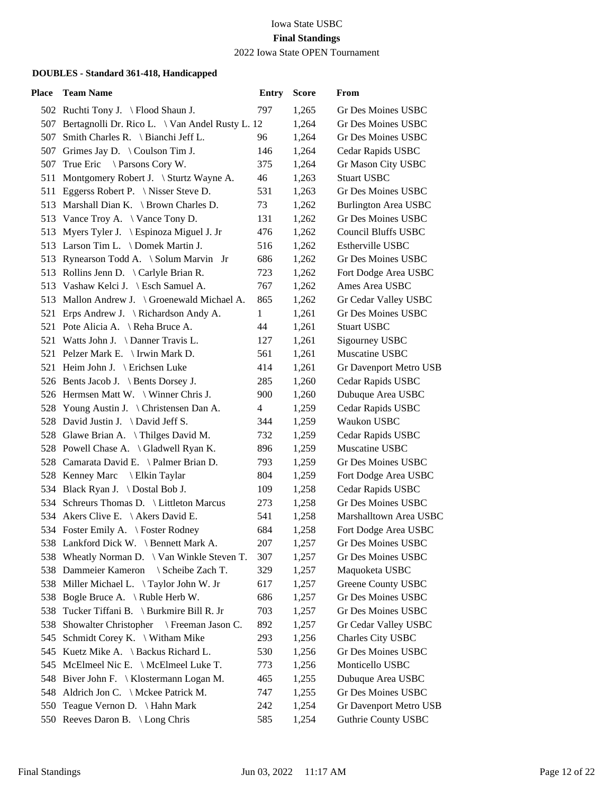### 2022 Iowa State OPEN Tournament

| Place | <b>Team Name</b>                                    | <b>Entry</b> | <b>Score</b> | From                        |
|-------|-----------------------------------------------------|--------------|--------------|-----------------------------|
|       | 502 Ruchti Tony J. \ Flood Shaun J.                 | 797          | 1,265        | Gr Des Moines USBC          |
|       | 507 Bertagnolli Dr. Rico L. \ Van Andel Rusty L. 12 |              | 1,264        | Gr Des Moines USBC          |
| 507   | Smith Charles R. $\setminus$ Bianchi Jeff L.        | 96           | 1,264        | Gr Des Moines USBC          |
|       | 507 Grimes Jay D. \ Coulson Tim J.                  | 146          | 1,264        | Cedar Rapids USBC           |
|       | 507 True Eric \ Parsons Cory W.                     | 375          | 1,264        | Gr Mason City USBC          |
|       | 511 Montgomery Robert J. \ Sturtz Wayne A.          | 46           | 1,263        | <b>Stuart USBC</b>          |
|       | 511 Eggerss Robert P. \ Nisser Steve D.             | 531          | 1,263        | Gr Des Moines USBC          |
|       | 513 Marshall Dian K. \ Brown Charles D.             | 73           | 1,262        | <b>Burlington Area USBC</b> |
|       | 513 Vance Troy A. \ Vance Tony D.                   | 131          | 1,262        | Gr Des Moines USBC          |
|       | 513 Myers Tyler J. \ Espinoza Miguel J. Jr          | 476          | 1,262        | <b>Council Bluffs USBC</b>  |
|       | 513 Larson Tim L. \ Domek Martin J.                 | 516          | 1,262        | Estherville USBC            |
|       | 513 Rynearson Todd A. \ Solum Marvin Jr             | 686          | 1,262        | Gr Des Moines USBC          |
|       | 513 Rollins Jenn D. \ Carlyle Brian R.              | 723          | 1,262        | Fort Dodge Area USBC        |
|       | 513 Vashaw Kelci J. \ Esch Samuel A.                | 767          | 1,262        | Ames Area USBC              |
|       | 513 Mallon Andrew J. \ Groenewald Michael A.        | 865          | 1,262        | Gr Cedar Valley USBC        |
|       | 521 Erps Andrew J. \ Richardson Andy A.             | $\mathbf{1}$ | 1,261        | Gr Des Moines USBC          |
|       | 521 Pote Alicia A. \ Reha Bruce A.                  | 44           | 1,261        | <b>Stuart USBC</b>          |
|       | 521 Watts John J. \ Danner Travis L.                | 127          | 1,261        | Sigourney USBC              |
|       | 521 Pelzer Mark E. \ Irwin Mark D.                  | 561          | 1,261        | Muscatine USBC              |
|       | 521 Heim John J. \ Erichsen Luke                    | 414          | 1,261        | Gr Davenport Metro USB      |
|       | 526 Bents Jacob J. \ Bents Dorsey J.                | 285          | 1,260        | Cedar Rapids USBC           |
|       | 526 Hermsen Matt W. \ Winner Chris J.               | 900          | 1,260        | Dubuque Area USBC           |
|       | 528 Young Austin J. \ Christensen Dan A.            | 4            | 1,259        | Cedar Rapids USBC           |
|       | 528 David Justin J. \ David Jeff S.                 | 344          | 1,259        | Waukon USBC                 |
|       | 528 Glawe Brian A. \Thilges David M.                | 732          | 1,259        | Cedar Rapids USBC           |
|       | 528 Powell Chase A. \ Gladwell Ryan K.              | 896          | 1,259        | Muscatine USBC              |
|       | 528 Camarata David E. \ Palmer Brian D.             | 793          | 1,259        | Gr Des Moines USBC          |
|       | 528 Kenney Marc \ Elkin Taylar                      | 804          | 1,259        | Fort Dodge Area USBC        |
|       | 534 Black Ryan J. \Dostal Bob J.                    | 109          | 1,258        | Cedar Rapids USBC           |
|       | 534 Schreurs Thomas D. \ Littleton Marcus           | 273          | 1,258        | <b>Gr Des Moines USBC</b>   |
|       | 534 Akers Clive E. \ Akers David E.                 | 541          | 1,258        | Marshalltown Area USBC      |
|       | 534 Foster Emily A. \ Foster Rodney                 | 684          | 1,258        | Fort Dodge Area USBC        |
|       | 538 Lankford Dick W. \ Bennett Mark A.              | 207          | 1,257        | Gr Des Moines USBC          |
|       | 538 Wheatly Norman D. \ Van Winkle Steven T.        | 307          | 1,257        | Gr Des Moines USBC          |
| 538   | Dammeier Kameron<br>\ Scheibe Zach T.               | 329          | 1,257        | Maquoketa USBC              |
|       | 538 Miller Michael L. \Taylor John W. Jr            | 617          | 1,257        | Greene County USBC          |
|       | 538 Bogle Bruce A. \Ruble Herb W.                   | 686          | 1,257        | Gr Des Moines USBC          |
| 538   | Tucker Tiffani B. \ Burkmire Bill R. Jr             | 703          | 1,257        | Gr Des Moines USBC          |
| 538   | Showalter Christopher<br>\ Freeman Jason C.         | 892          | 1,257        | Gr Cedar Valley USBC        |
| 545   | Schmidt Corey K. $\setminus$ Witham Mike            | 293          | 1,256        | Charles City USBC           |
| 545   | Kuetz Mike A. \ Backus Richard L.                   | 530          | 1,256        | Gr Des Moines USBC          |
| 545   | McElmeel Nic E. $\setminus$ McElmeel Luke T.        | 773          | 1,256        | Monticello USBC             |
| 548   | Biver John F. \ Klostermann Logan M.                | 465          | 1,255        | Dubuque Area USBC           |
|       | 548 Aldrich Jon C. \ Mckee Patrick M.               | 747          | 1,255        | Gr Des Moines USBC          |
|       | 550 Teague Vernon D. \ Hahn Mark                    | 242          | 1,254        | Gr Davenport Metro USB      |
|       | 550 Reeves Daron B. \ Long Chris                    | 585          | 1,254        | <b>Guthrie County USBC</b>  |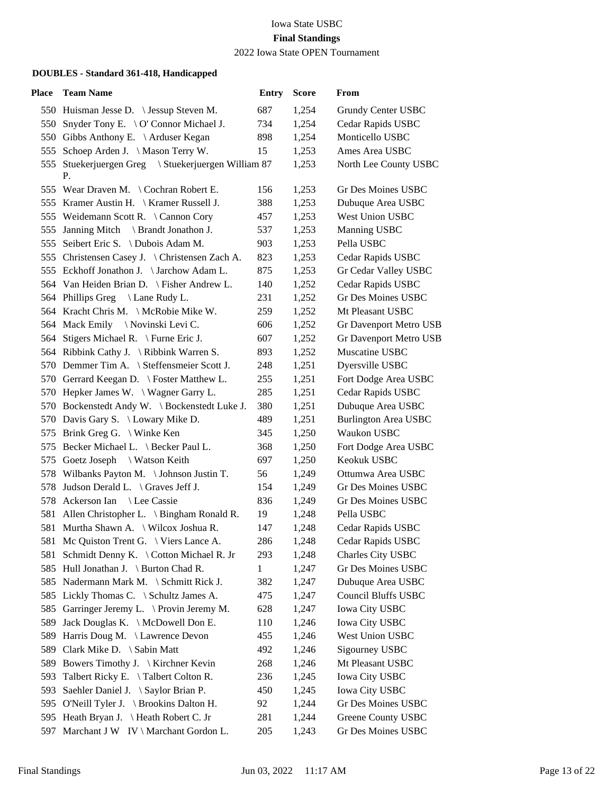2022 Iowa State OPEN Tournament

| Place | <b>Team Name</b>                                          | <b>Entry</b> | <b>Score</b> | From                        |
|-------|-----------------------------------------------------------|--------------|--------------|-----------------------------|
|       | 550 Huisman Jesse D. \ Jessup Steven M.                   | 687          | 1,254        | Grundy Center USBC          |
|       | 550 Snyder Tony E. \ O' Connor Michael J.                 | 734          | 1,254        | Cedar Rapids USBC           |
|       | 550 Gibbs Anthony E. \ Arduser Kegan                      | 898          | 1,254        | Monticello USBC             |
| 555   | Schoep Arden J. \ Mason Terry W.                          | 15           | 1,253        | Ames Area USBC              |
|       | 555 Stuekerjuergen Greg \ Stuekerjuergen William 87<br>Р. |              | 1,253        | North Lee County USBC       |
|       | 555 Wear Draven M. \ Cochran Robert E.                    | 156          | 1,253        | Gr Des Moines USBC          |
|       | 555 Kramer Austin H.   Kramer Russell J.                  | 388          | 1,253        | Dubuque Area USBC           |
|       | 555 Weidemann Scott R. \ Cannon Cory                      | 457          | 1,253        | West Union USBC             |
|       | 555 Janning Mitch \ Brandt Jonathon J.                    | 537          | 1,253        | Manning USBC                |
|       | 555 Seibert Eric S. \ Dubois Adam M.                      | 903          | 1,253        | Pella USBC                  |
|       | 555 Christensen Casey J. \ Christensen Zach A.            | 823          | 1,253        | Cedar Rapids USBC           |
|       | 555 Eckhoff Jonathon J. \Jarchow Adam L.                  | 875          | 1,253        | Gr Cedar Valley USBC        |
|       | 564 Van Heiden Brian D. \ Fisher Andrew L.                | 140          | 1,252        | Cedar Rapids USBC           |
|       | 564 Phillips Greg \ Lane Rudy L.                          | 231          | 1,252        | <b>Gr Des Moines USBC</b>   |
|       | 564 Kracht Chris M. \ McRobie Mike W.                     | 259          | 1,252        | Mt Pleasant USBC            |
|       | 564 Mack Emily \Novinski Levi C.                          | 606          | 1,252        | Gr Davenport Metro USB      |
|       | 564 Stigers Michael R. \ Furne Eric J.                    | 607          | 1,252        | Gr Davenport Metro USB      |
|       | 564 Ribbink Cathy J. \Ribbink Warren S.                   | 893          | 1,252        | Muscatine USBC              |
|       | 570 Demmer Tim A. \ Steffensmeier Scott J.                | 248          | 1,251        | Dyersville USBC             |
|       | 570 Gerrard Keegan D. \ Foster Matthew L.                 | 255          | 1,251        | Fort Dodge Area USBC        |
|       | 570 Hepker James W. \ Wagner Garry L.                     | 285          | 1,251        | Cedar Rapids USBC           |
|       | 570 Bockenstedt Andy W. \ Bockenstedt Luke J.             | 380          | 1,251        | Dubuque Area USBC           |
|       | 570 Davis Gary S. \ Lowary Mike D.                        | 489          | 1,251        | <b>Burlington Area USBC</b> |
|       | 575 Brink Greg G. \ Winke Ken                             | 345          | 1,250        | Waukon USBC                 |
|       | 575 Becker Michael L. \ Becker Paul L.                    | 368          | 1,250        | Fort Dodge Area USBC        |
|       | 575 Goetz Joseph \ Watson Keith                           | 697          | 1,250        | Keokuk USBC                 |
|       | 578 Wilbanks Payton M. \Johnson Justin T.                 | 56           | 1,249        | Ottumwa Area USBC           |
|       | 578 Judson Derald L. \ Graves Jeff J.                     | 154          | 1,249        | <b>Gr Des Moines USBC</b>   |
|       | 578 Ackerson Ian \ Lee Cassie                             | 836          | 1,249        | <b>Gr Des Moines USBC</b>   |
|       | 581 Allen Christopher L. \ Bingham Ronald R.              | 19           | 1,248        | Pella USBC                  |
|       | 581 Murtha Shawn A. \ Wilcox Joshua R.                    | 147          | 1,248        | Cedar Rapids USBC           |
|       | 581 Mc Quiston Trent G. \ Viers Lance A.                  | 286          | 1,248        | Cedar Rapids USBC           |
| 581   | Schmidt Denny K. \ Cotton Michael R. Jr                   | 293          | 1,248        | Charles City USBC           |
| 585   | Hull Jonathan J. \ Burton Chad R.                         | $\mathbf{1}$ | 1,247        | Gr Des Moines USBC          |
|       | 585 Nadermann Mark M. \ Schmitt Rick J.                   | 382          | 1,247        | Dubuque Area USBC           |
| 585   | Lickly Thomas C. \ Schultz James A.                       | 475          | 1,247        | <b>Council Bluffs USBC</b>  |
|       | 585 Garringer Jeremy L. \Provin Jeremy M.                 | 628          | 1,247        | <b>Iowa City USBC</b>       |
| 589   | Jack Douglas K. \ McDowell Don E.                         | 110          | 1,246        | <b>Iowa City USBC</b>       |
| 589   | Harris Doug M. \ Lawrence Devon                           | 455          | 1,246        | West Union USBC             |
| 589   | Clark Mike D. \ Sabin Matt                                | 492          | 1,246        | Sigourney USBC              |
| 589   | Bowers Timothy J. \ Kirchner Kevin                        | 268          | 1,246        | Mt Pleasant USBC            |
| 593   | Talbert Ricky E. \Talbert Colton R.                       | 236          | 1,245        | <b>Iowa City USBC</b>       |
| 593   | Saehler Daniel J. \ Saylor Brian P.                       | 450          | 1,245        | <b>Iowa City USBC</b>       |
|       | 595 O'Neill Tyler J. \ Brookins Dalton H.                 | 92           | 1,244        | Gr Des Moines USBC          |
|       | 595 Heath Bryan J. \Heath Robert C. Jr                    | 281          | 1,244        | Greene County USBC          |
| 597   | Marchant J W IV \ Marchant Gordon L.                      | 205          | 1,243        | Gr Des Moines USBC          |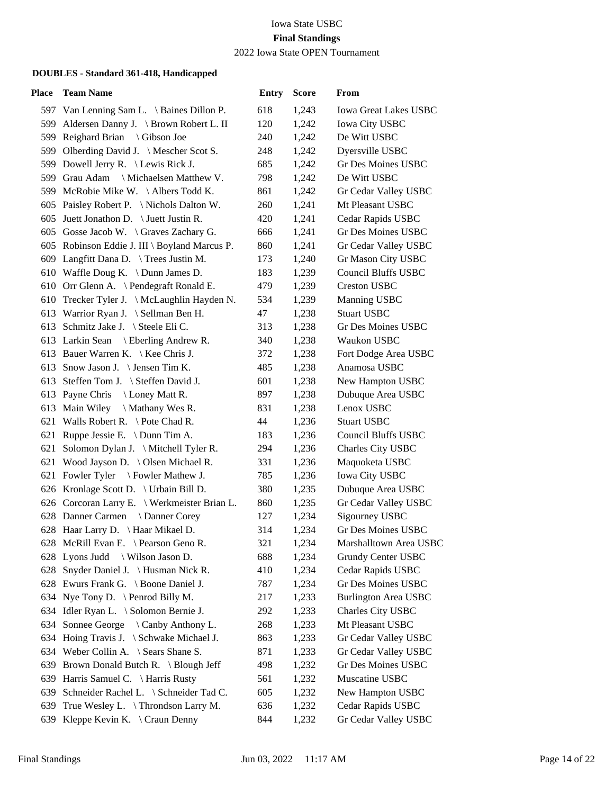### 2022 Iowa State OPEN Tournament

| Place | <b>Team Name</b>                              | <b>Entry</b> | <b>Score</b> | From                         |
|-------|-----------------------------------------------|--------------|--------------|------------------------------|
|       | 597 Van Lenning Sam L. \ Baines Dillon P.     | 618          | 1,243        | <b>Iowa Great Lakes USBC</b> |
|       | 599 Aldersen Danny J. \ Brown Robert L. II    | 120          | 1,242        | <b>Iowa City USBC</b>        |
| 599   | Reighard Brian \ Gibson Joe                   | 240          | 1,242        | De Witt USBC                 |
|       | 599 Olberding David J. \ Mescher Scot S.      | 248          | 1,242        | Dyersville USBC              |
|       | 599 Dowell Jerry R. \ Lewis Rick J.           | 685          | 1,242        | Gr Des Moines USBC           |
|       | 599 Grau Adam \ Michaelsen Matthew V.         | 798          | 1,242        | De Witt USBC                 |
|       | 599 McRobie Mike W. \Albers Todd K.           | 861          | 1,242        | Gr Cedar Valley USBC         |
|       | 605 Paisley Robert P. \ Nichols Dalton W.     | 260          | 1,241        | Mt Pleasant USBC             |
|       | 605 Juett Jonathon D. \ Juett Justin R.       | 420          | 1,241        | Cedar Rapids USBC            |
|       | 605 Gosse Jacob W. \ Graves Zachary G.        | 666          | 1,241        | Gr Des Moines USBC           |
|       | 605 Robinson Eddie J. III \ Boyland Marcus P. | 860          | 1,241        | Gr Cedar Valley USBC         |
|       | 609 Langfitt Dana D. \ Trees Justin M.        | 173          | 1,240        | Gr Mason City USBC           |
|       | 610 Waffle Doug K. \ Dunn James D.            | 183          | 1,239        | <b>Council Bluffs USBC</b>   |
|       | 610 Orr Glenn A. \ Pendegraft Ronald E.       | 479          | 1,239        | <b>Creston USBC</b>          |
|       | 610 Trecker Tyler J. \ McLaughlin Hayden N.   | 534          | 1,239        | Manning USBC                 |
|       | 613 Warrior Ryan J. \ Sellman Ben H.          | 47           | 1,238        | <b>Stuart USBC</b>           |
|       | 613 Schmitz Jake J. \ Steele Eli C.           | 313          | 1,238        | Gr Des Moines USBC           |
|       | 613 Larkin Sean \ Eberling Andrew R.          | 340          | 1,238        | Waukon USBC                  |
|       | 613 Bauer Warren K.   Kee Chris J.            | 372          | 1,238        | Fort Dodge Area USBC         |
|       | 613 Snow Jason J. \ Jensen Tim K.             | 485          | 1,238        | Anamosa USBC                 |
|       | 613 Steffen Tom J. \ Steffen David J.         | 601          | 1,238        | New Hampton USBC             |
|       | 613 Payne Chris<br>Loney Matt R.              | 897          | 1,238        | Dubuque Area USBC            |
|       | 613 Main Wiley<br>$\setminus$ Mathany Wes R.  | 831          | 1,238        | Lenox USBC                   |
|       | 621 Walls Robert R. \ Pote Chad R.            | 44           | 1,236        | <b>Stuart USBC</b>           |
|       | 621 Ruppe Jessie E. \ Dunn Tim A.             | 183          | 1,236        | <b>Council Bluffs USBC</b>   |
| 621   | Solomon Dylan J. \ Mitchell Tyler R.          | 294          | 1,236        | Charles City USBC            |
|       | 621 Wood Jayson D. \ Olsen Michael R.         | 331          | 1,236        | Maquoketa USBC               |
|       | 621 Fowler Tyler \ Fowler Mathew J.           | 785          | 1,236        | <b>Iowa City USBC</b>        |
|       | 626 Kronlage Scott D. \ Urbain Bill D.        | 380          | 1,235        | Dubuque Area USBC            |
|       | 626 Corcoran Larry E. \ Werkmeister Brian L.  | 860          | 1,235        | Gr Cedar Valley USBC         |
|       | 628 Danner Carmen \ Danner Corey              | 127          | 1,234        | Sigourney USBC               |
|       | 628 Haar Larry D. \ Haar Mikael D.            | 314          | 1,234        | Gr Des Moines USBC           |
|       | 628 McRill Evan E. \ Pearson Geno R.          | 321          | 1,234        | Marshalltown Area USBC       |
|       | 628 Lyons Judd \ Wilson Jason D.              | 688          | 1,234        | Grundy Center USBC           |
| 628   | Snyder Daniel J. \ Husman Nick R.             | 410          | 1,234        | Cedar Rapids USBC            |
|       | 628 Ewurs Frank G. \ Boone Daniel J.          | 787          | 1,234        | Gr Des Moines USBC           |
|       | 634 Nye Tony D. \ Penrod Billy M.             | 217          | 1,233        | <b>Burlington Area USBC</b>  |
|       | 634 Idler Ryan L. \ Solomon Bernie J.         | 292          | 1,233        | Charles City USBC            |
| 634   | Sonnee George \ Canby Anthony L.              | 268          | 1,233        | Mt Pleasant USBC             |
|       | 634 Hoing Travis J. \ Schwake Michael J.      | 863          | 1,233        | Gr Cedar Valley USBC         |
|       | 634 Weber Collin A. \ Sears Shane S.          | 871          | 1,233        | Gr Cedar Valley USBC         |
| 639   | Brown Donald Butch R. \ Blough Jeff           | 498          | 1,232        | Gr Des Moines USBC           |
| 639   | Harris Samuel C. \ Harris Rusty               | 561          | 1,232        | Muscatine USBC               |
| 639   | Schneider Rachel L. \ Schneider Tad C.        | 605          | 1,232        | New Hampton USBC             |
| 639   | True Wesley L. \ Throndson Larry M.           | 636          | 1,232        | Cedar Rapids USBC            |
| 639   | Kleppe Kevin K. $\setminus$ Craun Denny       | 844          | 1,232        | Gr Cedar Valley USBC         |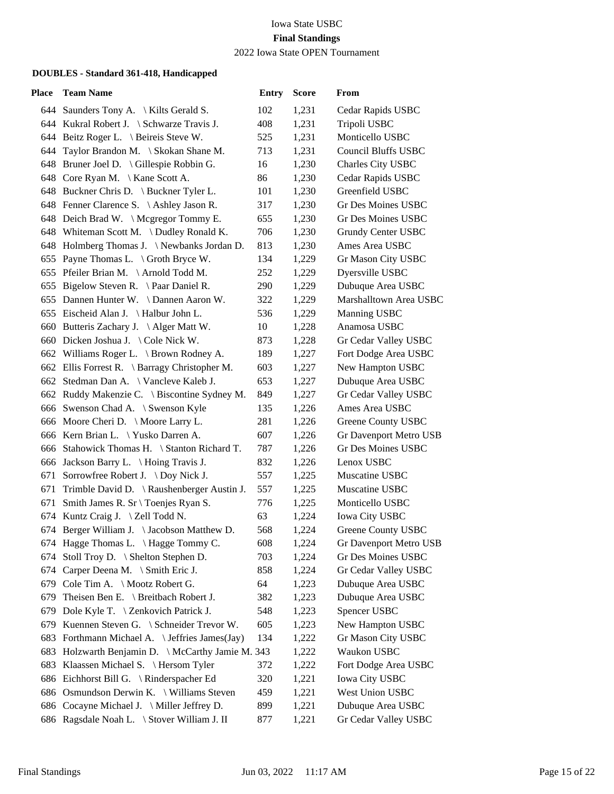### 2022 Iowa State OPEN Tournament

| <b>Place</b> | <b>Team Name</b>                                  | <b>Entry</b> | <b>Score</b> | From                       |
|--------------|---------------------------------------------------|--------------|--------------|----------------------------|
|              | 644 Saunders Tony A. \ Kilts Gerald S.            | 102          | 1,231        | Cedar Rapids USBC          |
|              | 644 Kukral Robert J. \ Schwarze Travis J.         | 408          | 1,231        | Tripoli USBC               |
|              | 644 Beitz Roger L. \ Beireis Steve W.             | 525          | 1,231        | Monticello USBC            |
|              | 644 Taylor Brandon M. \ Skokan Shane M.           | 713          | 1,231        | <b>Council Bluffs USBC</b> |
|              | 648 Bruner Joel D. \ Gillespie Robbin G.          | 16           | 1,230        | Charles City USBC          |
|              | 648 Core Ryan M. \ Kane Scott A.                  | 86           | 1,230        | Cedar Rapids USBC          |
|              | 648 Buckner Chris D. \ Buckner Tyler L.           | 101          | 1,230        | Greenfield USBC            |
|              | 648 Fenner Clarence S. \Ashley Jason R.           | 317          | 1,230        | <b>Gr Des Moines USBC</b>  |
|              | 648 Deich Brad W. \ Mcgregor Tommy E.             | 655          | 1,230        | Gr Des Moines USBC         |
|              | 648 Whiteman Scott M. \Dudley Ronald K.           | 706          | 1,230        | Grundy Center USBC         |
|              | 648 Holmberg Thomas J. \Newbanks Jordan D.        | 813          | 1,230        | Ames Area USBC             |
| 655          | Payne Thomas L. $\setminus$ Groth Bryce W.        | 134          | 1,229        | Gr Mason City USBC         |
|              | 655 Pfeiler Brian M. \Arnold Todd M.              | 252          | 1,229        | Dyersville USBC            |
|              | 655 Bigelow Steven R. \ Paar Daniel R.            | 290          | 1,229        | Dubuque Area USBC          |
|              | 655 Dannen Hunter W. \Dannen Aaron W.             | 322          | 1,229        | Marshalltown Area USBC     |
|              | 655 Eischeid Alan J. \ Halbur John L.             | 536          | 1,229        | Manning USBC               |
|              | 660 Butteris Zachary J. \Alger Matt W.            | 10           | 1,228        | Anamosa USBC               |
|              | 660 Dicken Joshua J. \ Cole Nick W.               | 873          | 1,228        | Gr Cedar Valley USBC       |
|              | 662 Williams Roger L. \ Brown Rodney A.           | 189          | 1,227        | Fort Dodge Area USBC       |
|              | 662 Ellis Forrest R. \ Barragy Christopher M.     | 603          | 1,227        | New Hampton USBC           |
|              | 662 Stedman Dan A. \ Vancleve Kaleb J.            | 653          | 1,227        | Dubuque Area USBC          |
|              | 662 Ruddy Makenzie C. \ Biscontine Sydney M.      | 849          | 1,227        | Gr Cedar Valley USBC       |
|              | 666 Swenson Chad A. \ Swenson Kyle                | 135          | 1,226        | Ames Area USBC             |
|              | 666 Moore Cheri D. \ Moore Larry L.               | 281          | 1,226        | Greene County USBC         |
|              | 666 Kern Brian L. \ Yusko Darren A.               | 607          | 1,226        | Gr Davenport Metro USB     |
|              | 666 Stahowick Thomas H. \ Stanton Richard T.      | 787          | 1,226        | <b>Gr Des Moines USBC</b>  |
|              | 666 Jackson Barry L. \ Hoing Travis J.            | 832          | 1,226        | Lenox USBC                 |
|              | 671 Sorrowfree Robert J. \ Doy Nick J.            | 557          | 1,225        | Muscatine USBC             |
|              | 671 Trimble David D. \ Raushenberger Austin J.    | 557          | 1,225        | Muscatine USBC             |
|              | 671 Smith James R. Sr \ Toenjes Ryan S.           | 776          | 1,225        | Monticello USBC            |
|              | 674 Kuntz Craig J. \ Zell Todd N.                 | 63           | 1,224        | Iowa City USBC             |
|              | 674 Berger William J. \ Jacobson Matthew D.       | 568          | 1,224        | Greene County USBC         |
|              | 674 Hagge Thomas L. \Hagge Tommy C.               | 608          | 1,224        | Gr Davenport Metro USB     |
|              | 674 Stoll Troy D. \ Shelton Stephen D.            | 703          | 1,224        | Gr Des Moines USBC         |
| 674          | Carper Deena M. \ Smith Eric J.                   | 858          | 1,224        | Gr Cedar Valley USBC       |
| 679          | Cole Tim A. \ Mootz Robert G.                     | 64           | 1,223        | Dubuque Area USBC          |
| 679          | Theisen Ben E. \ Breitbach Robert J.              | 382          | 1,223        | Dubuque Area USBC          |
| 679          | Dole Kyle T. \ Zenkovich Patrick J.               | 548          | 1,223        | Spencer USBC               |
| 679          | Kuennen Steven G. \ Schneider Trevor W.           | 605          | 1,223        | New Hampton USBC           |
| 683          | Forthmann Michael A. \ Jeffries James(Jay)        | 134          | 1,222        | Gr Mason City USBC         |
|              | 683 Holzwarth Benjamin D. \ McCarthy Jamie M. 343 |              | 1,222        | Waukon USBC                |
| 683          | Klaassen Michael S. \ Hersom Tyler                | 372          | 1,222        | Fort Dodge Area USBC       |
|              | 686 Eichhorst Bill G. \ Rinderspacher Ed          | 320          | 1,221        | <b>Iowa City USBC</b>      |
|              | 686 Osmundson Derwin K. \ Williams Steven         | 459          | 1,221        | West Union USBC            |
|              | 686 Cocayne Michael J. \ Miller Jeffrey D.        | 899          | 1,221        | Dubuque Area USBC          |
|              | 686 Ragsdale Noah L. \ Stover William J. II       | 877          | 1,221        | Gr Cedar Valley USBC       |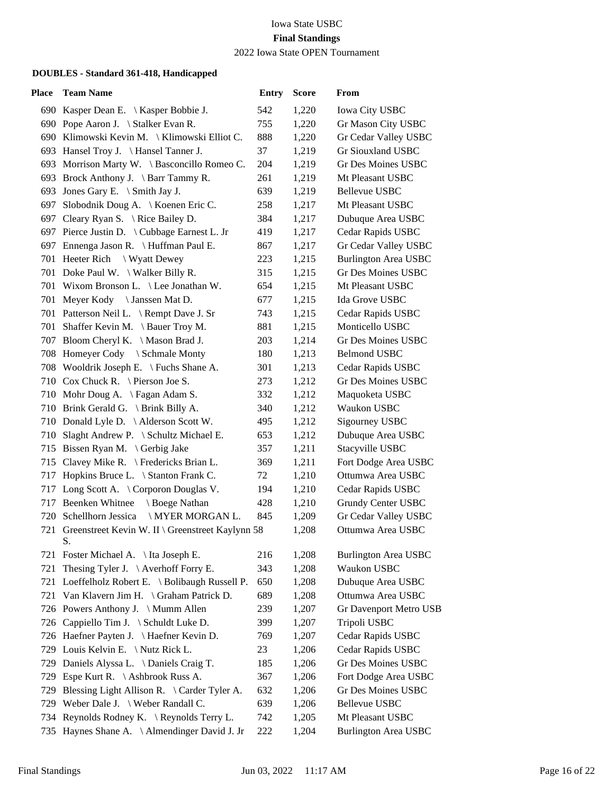## 2022 Iowa State OPEN Tournament

| Place | <b>Team Name</b>                                     | <b>Entry</b> | <b>Score</b> | From                        |
|-------|------------------------------------------------------|--------------|--------------|-----------------------------|
|       | 690 Kasper Dean E. \ Kasper Bobbie J.                | 542          | 1,220        | <b>Iowa City USBC</b>       |
|       | 690 Pope Aaron J. \ Stalker Evan R.                  | 755          | 1,220        | Gr Mason City USBC          |
|       | 690 Klimowski Kevin M.   Klimowski Elliot C.         | 888          | 1,220        | Gr Cedar Valley USBC        |
|       | 693 Hansel Troy J. \ Hansel Tanner J.                | 37           | 1,219        | Gr Siouxland USBC           |
|       | 693 Morrison Marty W. \ Basconcillo Romeo C.         | 204          | 1,219        | Gr Des Moines USBC          |
|       | 693 Brock Anthony J. \ Barr Tammy R.                 | 261          | 1,219        | Mt Pleasant USBC            |
| 693   | Jones Gary E. $\Im$ Smith Jay J.                     | 639          | 1,219        | <b>Bellevue USBC</b>        |
|       | 697 Slobodnik Doug A. \ Koenen Eric C.               | 258          | 1,217        | Mt Pleasant USBC            |
|       | 697 Cleary Ryan S. \ Rice Bailey D.                  | 384          | 1,217        | Dubuque Area USBC           |
|       | 697 Pierce Justin D. \ Cubbage Earnest L. Jr         | 419          | 1,217        | Cedar Rapids USBC           |
|       | 697 Ennenga Jason R. \ Huffman Paul E.               | 867          | 1,217        | Gr Cedar Valley USBC        |
|       | 701 Heeter Rich \ Wyatt Dewey                        | 223          | 1,215        | <b>Burlington Area USBC</b> |
|       | 701 Doke Paul W. \ Walker Billy R.                   | 315          | 1,215        | Gr Des Moines USBC          |
|       | 701 Wixom Bronson L. \ Lee Jonathan W.               | 654          | 1,215        | Mt Pleasant USBC            |
|       | 701 Meyer Kody \ Janssen Mat D.                      | 677          | 1,215        | Ida Grove USBC              |
|       | 701 Patterson Neil L. \ Rempt Dave J. Sr             | 743          | 1,215        | Cedar Rapids USBC           |
|       | 701 Shaffer Kevin M. \ Bauer Troy M.                 | 881          | 1,215        | Monticello USBC             |
|       | 707 Bloom Cheryl K. \ Mason Brad J.                  | 203          | 1,214        | Gr Des Moines USBC          |
|       | 708 Homeyer Cody \ Schmale Monty                     | 180          | 1,213        | <b>Belmond USBC</b>         |
|       | 708 Wooldrik Joseph E. \ Fuchs Shane A.              | 301          | 1,213        | Cedar Rapids USBC           |
|       | 710 Cox Chuck R. \ Pierson Joe S.                    | 273          | 1,212        | Gr Des Moines USBC          |
|       | 710 Mohr Doug A. \ Fagan Adam S.                     | 332          | 1,212        | Maquoketa USBC              |
|       | 710 Brink Gerald G. \ Brink Billy A.                 | 340          | 1,212        | Waukon USBC                 |
|       | 710 Donald Lyle D. \Alderson Scott W.                | 495          | 1,212        | Sigourney USBC              |
|       | 710 Slaght Andrew P. \ Schultz Michael E.            | 653          | 1,212        | Dubuque Area USBC           |
|       | 715 Bissen Ryan M. \Gerbig Jake                      | 357          | 1,211        | Stacyville USBC             |
|       | 715 Clavey Mike R. \ Fredericks Brian L.             | 369          | 1,211        | Fort Dodge Area USBC        |
| 717   | Hopkins Bruce L. \ Stanton Frank C.                  | 72           | 1,210        | Ottumwa Area USBC           |
|       | 717 Long Scott A. \ Corporon Douglas V.              | 194          | 1,210        | Cedar Rapids USBC           |
|       | 717 Beenken Whitnee<br>Boege Nathan                  | 428          | 1,210        | <b>Grundy Center USBC</b>   |
|       | 720 Schellhorn Jessica<br>\ MYER MORGAN L.           | 845          | 1,209        | Gr Cedar Valley USBC        |
|       | 721 Greenstreet Kevin W. II \ Greenstreet Kaylynn 58 |              | 1,208        | Ottumwa Area USBC           |
|       | S.                                                   |              |              |                             |
|       | 721 Foster Michael A. \ Ita Joseph E.                | 216          | 1,208        | <b>Burlington Area USBC</b> |
| 721   | The sing Tyler J. $\setminus$ Averhoff Forry E.      | 343          | 1,208        | Waukon USBC                 |
| 721   | Loeffelholz Robert E. \ Bolibaugh Russell P.         | 650          | 1,208        | Dubuque Area USBC           |
| 721   | Van Klavern Jim H. \ Graham Patrick D.               | 689          | 1,208        | Ottumwa Area USBC           |
|       | 726 Powers Anthony J. \ Mumm Allen                   | 239          | 1,207        | Gr Davenport Metro USB      |
|       | 726 Cappiello Tim J. \ Schuldt Luke D.               | 399          | 1,207        | Tripoli USBC                |
|       | 726 Haefner Payten J. \ Haefner Kevin D.             | 769          | 1,207        | Cedar Rapids USBC           |
| 729   | Louis Kelvin E. \ Nutz Rick L.                       | 23           | 1,206        | Cedar Rapids USBC           |
|       | 729 Daniels Alyssa L. \ Daniels Craig T.             | 185          | 1,206        | Gr Des Moines USBC          |
| 729   | Espe Kurt R. $\setminus$ Ashbrook Russ A.            | 367          | 1,206        | Fort Dodge Area USBC        |
| 729   | Blessing Light Allison R. \ Carder Tyler A.          | 632          | 1,206        | Gr Des Moines USBC          |
| 729   | Weber Dale J. $\ \$ Weber Randall C.                 | 639          | 1,206        | Bellevue USBC               |
|       | 734 Reynolds Rodney K. \ Reynolds Terry L.           | 742          | 1,205        | Mt Pleasant USBC            |
|       | 735 Haynes Shane A. \ Almendinger David J. Jr        | 222          | 1,204        | <b>Burlington Area USBC</b> |
|       |                                                      |              |              |                             |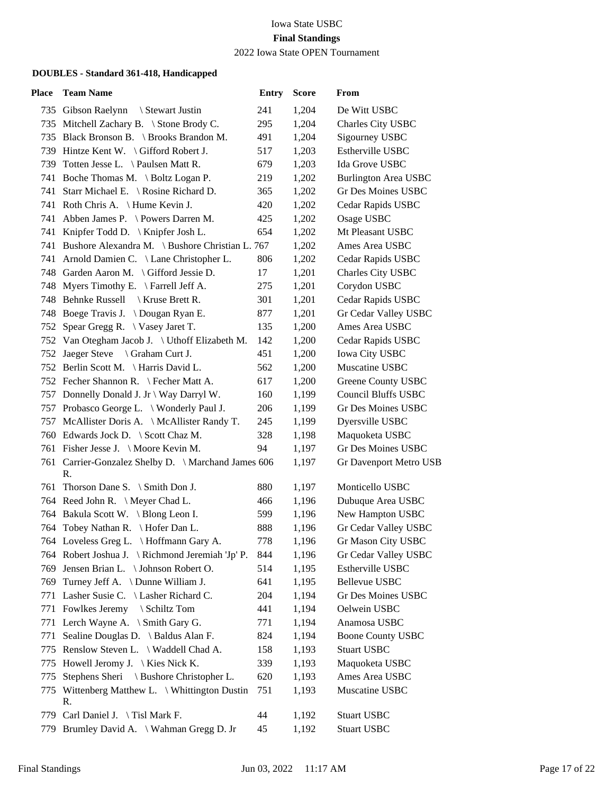2022 Iowa State OPEN Tournament

| Place | <b>Team Name</b>                                     | <b>Entry</b> | <b>Score</b> | From                        |
|-------|------------------------------------------------------|--------------|--------------|-----------------------------|
|       | 735 Gibson Raelynn<br>Stewart Justin                 | 241          | 1,204        | De Witt USBC                |
|       | 735 Mitchell Zachary B. \ Stone Brody C.             | 295          | 1,204        | Charles City USBC           |
|       | 735 Black Bronson B. \ Brooks Brandon M.             | 491          | 1,204        | Sigourney USBC              |
|       | 739 Hintze Kent W. \ Gifford Robert J.               | 517          | 1,203        | Estherville USBC            |
|       | 739 Totten Jesse L. \ Paulsen Matt R.                | 679          | 1,203        | Ida Grove USBC              |
|       | 741 Boche Thomas M. \ Boltz Logan P.                 | 219          | 1,202        | <b>Burlington Area USBC</b> |
| 741   | Starr Michael E. \ Rosine Richard D.                 | 365          | 1,202        | Gr Des Moines USBC          |
|       | 741 Roth Chris A. \ Hume Kevin J.                    | 420          | 1,202        | Cedar Rapids USBC           |
|       | 741 Abben James P. \ Powers Darren M.                | 425          | 1,202        | Osage USBC                  |
|       | 741 Knipfer Todd D. \ Knipfer Josh L.                | 654          | 1,202        | Mt Pleasant USBC            |
|       | 741 Bushore Alexandra M. \ Bushore Christian L. 767  |              | 1,202        | Ames Area USBC              |
|       | 741 Arnold Damien C. \ Lane Christopher L.           | 806          | 1,202        | Cedar Rapids USBC           |
|       | 748 Garden Aaron M. \ Gifford Jessie D.              | 17           | 1,201        | Charles City USBC           |
|       | 748 Myers Timothy E. \ Farrell Jeff A.               | 275          | 1,201        | Corydon USBC                |
|       | 748 Behnke Russell \ Kruse Brett R.                  | 301          | 1,201        | Cedar Rapids USBC           |
|       | 748 Boege Travis J. \Dougan Ryan E.                  | 877          | 1,201        | Gr Cedar Valley USBC        |
|       | 752 Spear Gregg R. \ Vasey Jaret T.                  | 135          | 1,200        | Ames Area USBC              |
|       | 752 Van Otegham Jacob J. \ Uthoff Elizabeth M.       | 142          | 1,200        | Cedar Rapids USBC           |
|       | 752 Jaeger Steve \ Graham Curt J.                    | 451          | 1,200        | <b>Iowa City USBC</b>       |
|       | 752 Berlin Scott M. \ Harris David L.                | 562          | 1,200        | Muscatine USBC              |
|       | 752 Fecher Shannon R. \ Fecher Matt A.               | 617          | 1,200        | Greene County USBC          |
|       | 757 Donnelly Donald J. Jr \ Way Darryl W.            | 160          | 1,199        | <b>Council Bluffs USBC</b>  |
|       | 757 Probasco George L. \ Wonderly Paul J.            | 206          | 1,199        | Gr Des Moines USBC          |
|       | 757 McAllister Doris A. \ McAllister Randy T.        | 245          | 1,199        | Dyersville USBC             |
|       | 760 Edwards Jock D. \ Scott Chaz M.                  | 328          | 1,198        | Maquoketa USBC              |
|       | 761 Fisher Jesse J. \Moore Kevin M.                  | 94           | 1,197        | Gr Des Moines USBC          |
|       | 761 Carrier-Gonzalez Shelby D. \ Marchand James 606  |              | 1,197        | Gr Davenport Metro USB      |
|       | R.                                                   |              |              |                             |
|       | 761 Thorson Dane S. \ Smith Don J.                   | 880          | 1,197        | Monticello USBC             |
|       | 764 Reed John R. \ Meyer Chad L.                     | 466          | 1,196        | Dubuque Area USBC           |
|       | 764 Bakula Scott W. \ Blong Leon I.                  | 599          | 1,196        | New Hampton USBC            |
|       | 764 Tobey Nathan R. \ Hofer Dan L.                   | 888          | 1,196        | Gr Cedar Valley USBC        |
|       | 764 Loveless Greg L. \ Hoffmann Gary A.              | 778          | 1,196        | Gr Mason City USBC          |
|       | 764 Robert Joshua J. \ Richmond Jeremiah 'Jp' P.     | 844          | 1,196        | Gr Cedar Valley USBC        |
|       | 769 Jensen Brian L. \ Johnson Robert O.              | 514          | 1,195        | Estherville USBC            |
|       | 769 Turney Jeff A. \ Dunne William J.                | 641          | 1,195        | Bellevue USBC               |
|       | 771 Lasher Susie C. \ Lasher Richard C.              | 204          | 1,194        | Gr Des Moines USBC          |
|       | 771 Fowlkes Jeremy \ Schiltz Tom                     | 441          | 1,194        | Oelwein USBC                |
|       | 771 Lerch Wayne A. \ Smith Gary G.                   | 771          | 1,194        | Anamosa USBC                |
| 771   | Sealine Douglas D. \ Baldus Alan F.                  | 824          | 1,194        | <b>Boone County USBC</b>    |
| 775   | Renslow Steven L. \ Waddell Chad A.                  | 158          | 1,193        | <b>Stuart USBC</b>          |
| 775   | Howell Jeromy J. $\setminus$ Kies Nick K.            | 339          | 1,193        | Maquoketa USBC              |
| 775   | Stephens Sheri \ Bushore Christopher L.              | 620          | 1,193        | Ames Area USBC              |
|       | 775 Wittenberg Matthew L. \ Whittington Dustin<br>R. | 751          | 1,193        | Muscatine USBC              |
|       | 779 Carl Daniel J. \ Tisl Mark F.                    | 44           | 1,192        | <b>Stuart USBC</b>          |
|       | 779 Brumley David A. \ Wahman Gregg D. Jr            | 45           | 1,192        | <b>Stuart USBC</b>          |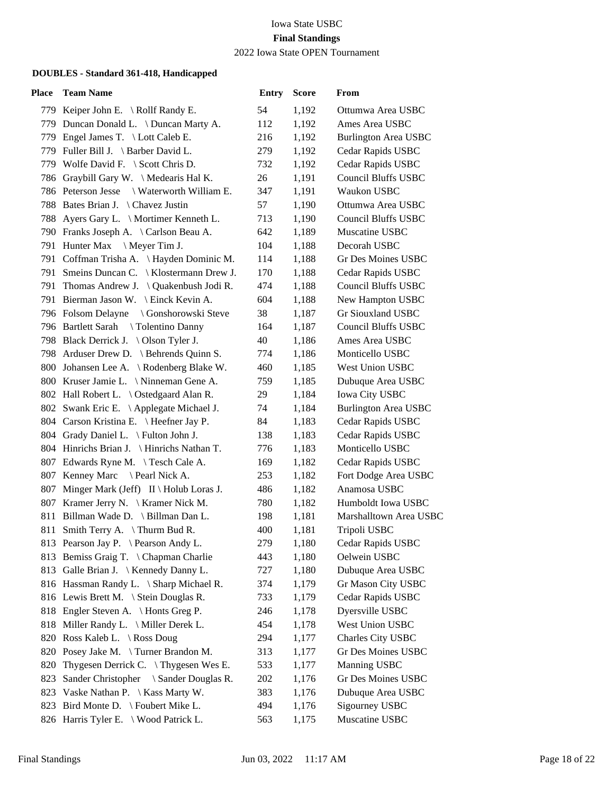# 2022 Iowa State OPEN Tournament

| Place | <b>Team Name</b>                           | <b>Entry</b> | <b>Score</b> | From                        |
|-------|--------------------------------------------|--------------|--------------|-----------------------------|
|       | 779 Keiper John E. \ Rollf Randy E.        | 54           | 1,192        | Ottumwa Area USBC           |
|       | 779 Duncan Donald L. \ Duncan Marty A.     | 112          | 1,192        | Ames Area USBC              |
|       | 779 Engel James T. \ Lott Caleb E.         | 216          | 1,192        | <b>Burlington Area USBC</b> |
|       | 779 Fuller Bill J. \ Barber David L.       | 279          | 1,192        | Cedar Rapids USBC           |
|       | 779 Wolfe David F. \ Scott Chris D.        | 732          | 1,192        | Cedar Rapids USBC           |
|       | 786 Graybill Gary W. \ Medearis Hal K.     | 26           | 1,191        | <b>Council Bluffs USBC</b>  |
|       | 786 Peterson Jesse \ Waterworth William E. | 347          | 1,191        | Waukon USBC                 |
|       | 788 Bates Brian J. \ Chavez Justin         | 57           | 1,190        | Ottumwa Area USBC           |
|       | 788 Ayers Gary L. \ Mortimer Kenneth L.    | 713          | 1,190        | <b>Council Bluffs USBC</b>  |
|       | 790 Franks Joseph A. \ Carlson Beau A.     | 642          | 1,189        | Muscatine USBC              |
|       | 791 Hunter Max<br>$\setminus$ Meyer Tim J. | 104          | 1,188        | Decorah USBC                |
|       | 791 Coffman Trisha A. \Hayden Dominic M.   | 114          | 1,188        | Gr Des Moines USBC          |
|       | 791 Smeins Duncan C. \ Klostermann Drew J. | 170          | 1,188        | Cedar Rapids USBC           |
|       | 791 Thomas Andrew J. \ Quakenbush Jodi R.  | 474          | 1,188        | <b>Council Bluffs USBC</b>  |
|       | 791 Bierman Jason W. \ Einck Kevin A.      | 604          | 1,188        | New Hampton USBC            |
|       | 796 Folsom Delayne \ Gonshorowski Steve    | 38           | 1,187        | Gr Siouxland USBC           |
|       | 796 Bartlett Sarah \ Tolentino Danny       | 164          | 1,187        | <b>Council Bluffs USBC</b>  |
|       | 798 Black Derrick J. \ Olson Tyler J.      | 40           | 1,186        | Ames Area USBC              |
|       | 798 Arduser Drew D. \ Behrends Quinn S.    | 774          | 1,186        | Monticello USBC             |
|       | 800 Johansen Lee A. \ Rodenberg Blake W.   | 460          | 1,185        | West Union USBC             |
|       | 800 Kruser Jamie L. \Ninneman Gene A.      | 759          | 1,185        | Dubuque Area USBC           |
|       | 802 Hall Robert L. \ Ostedgaard Alan R.    | 29           | 1,184        | Iowa City USBC              |
|       | 802 Swank Eric E. \ Applegate Michael J.   | 74           | 1,184        | <b>Burlington Area USBC</b> |
|       | 804 Carson Kristina E. \ Heefner Jay P.    | 84           | 1,183        | Cedar Rapids USBC           |
|       | 804 Grady Daniel L. \ Fulton John J.       | 138          | 1,183        | Cedar Rapids USBC           |
|       | 804 Hinrichs Brian J. \ Hinrichs Nathan T. | 776          | 1,183        | Monticello USBC             |
|       | 807 Edwards Ryne M. \Tesch Cale A.         | 169          | 1,182        | Cedar Rapids USBC           |
|       | 807 Kenney Marc<br>Pearl Nick A.           | 253          | 1,182        | Fort Dodge Area USBC        |
|       | 807 Minger Mark (Jeff) II \ Holub Loras J. | 486          | 1,182        | Anamosa USBC                |
|       | 807 Kramer Jerry N. \ Kramer Nick M.       | 780          | 1,182        | Humboldt Iowa USBC          |
|       | 811 Billman Wade D. \ Billman Dan L.       | 198          | 1,181        | Marshalltown Area USBC      |
|       | 811 Smith Terry A. \Thurm Bud R.           | 400          | 1,181        | Tripoli USBC                |
|       | 813 Pearson Jay P. \ Pearson Andy L.       | 279          | 1,180        | Cedar Rapids USBC           |
|       | 813 Bemiss Graig T. \ Chapman Charlie      | 443          | 1,180        | Oelwein USBC                |
|       | 813 Galle Brian J.   Kennedy Danny L.      | 727          | 1,180        | Dubuque Area USBC           |
|       | 816 Hassman Randy L. \ Sharp Michael R.    | 374          | 1,179        | Gr Mason City USBC          |
|       | 816 Lewis Brett M. \ Stein Douglas R.      | 733          | 1,179        | Cedar Rapids USBC           |
|       | 818 Engler Steven A. \Honts Greg P.        | 246          | 1,178        | Dyersville USBC             |
|       | 818 Miller Randy L. \ Miller Derek L.      | 454          | 1,178        | West Union USBC             |
|       | 820 Ross Kaleb L. \ Ross Doug              | 294          | 1,177        | Charles City USBC           |
|       | 820 Posey Jake M. \Turner Brandon M.       | 313          | 1,177        | Gr Des Moines USBC          |
| 820   | Thygesen Derrick C. \Thygesen Wes E.       | 533          | 1,177        | <b>Manning USBC</b>         |
| 823   | Sander Christopher \ Sander Douglas R.     | 202          | 1,176        | Gr Des Moines USBC          |
| 823   | Vaske Nathan P. $\setminus$ Kass Marty W.  | 383          | 1,176        | Dubuque Area USBC           |
|       | 823 Bird Monte D. \ Foubert Mike L.        | 494          | 1,176        | Sigourney USBC              |
|       | 826 Harris Tyler E. \ Wood Patrick L.      | 563          | 1,175        | Muscatine USBC              |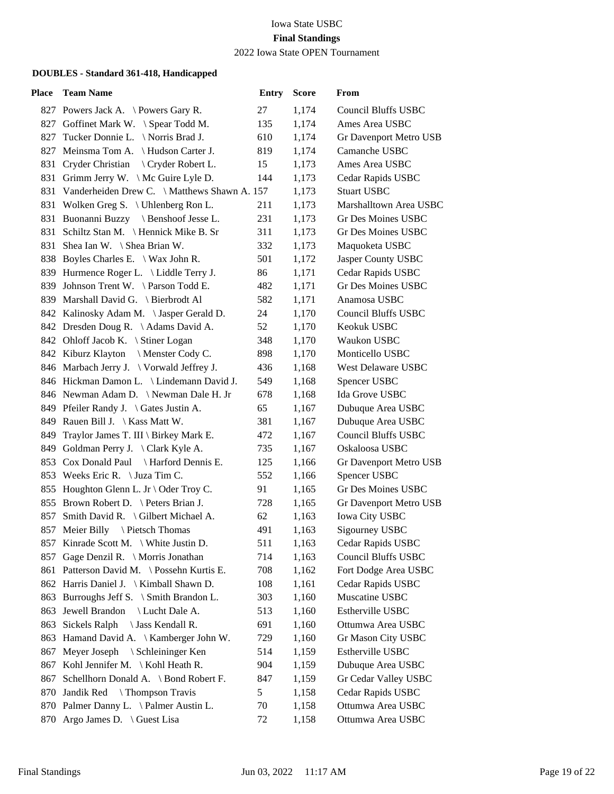2022 Iowa State OPEN Tournament

| Place | <b>Team Name</b>                                 | <b>Entry</b> | <b>Score</b> | From                       |
|-------|--------------------------------------------------|--------------|--------------|----------------------------|
|       | 827 Powers Jack A. \Powers Gary R.               | 27           | 1,174        | <b>Council Bluffs USBC</b> |
|       | 827 Goffinet Mark W. \ Spear Todd M.             | 135          | 1,174        | Ames Area USBC             |
|       | 827 Tucker Donnie L. \ Norris Brad J.            | 610          | 1,174        | Gr Davenport Metro USB     |
|       | 827 Meinsma Tom A. \ Hudson Carter J.            | 819          | 1,174        | Camanche USBC              |
|       | 831 Cryder Christian \ Cryder Robert L.          | 15           | 1,173        | Ames Area USBC             |
| 831   | Grimm Jerry W. \ Mc Guire Lyle D.                | 144          | 1,173        | Cedar Rapids USBC          |
|       | 831 Vanderheiden Drew C. \ Matthews Shawn A. 157 |              | 1,173        | <b>Stuart USBC</b>         |
|       | 831 Wolken Greg S. \ Uhlenberg Ron L.            | 211          | 1,173        | Marshalltown Area USBC     |
|       | 831 Buonanni Buzzy \ Benshoof Jesse L.           | 231          | 1,173        | Gr Des Moines USBC         |
|       | 831 Schiltz Stan M. \ Hennick Mike B. Sr         | 311          | 1,173        | Gr Des Moines USBC         |
|       | 831 Shea Ian W. \ Shea Brian W.                  | 332          | 1,173        | Maquoketa USBC             |
|       | 838 Boyles Charles E. \ Wax John R.              | 501          | 1,172        | Jasper County USBC         |
|       | 839 Hurmence Roger L. \ Liddle Terry J.          | 86           | 1,171        | Cedar Rapids USBC          |
|       | 839 Johnson Trent W. \Parson Todd E.             | 482          | 1,171        | <b>Gr Des Moines USBC</b>  |
|       | 839 Marshall David G. \ Bierbrodt Al             | 582          | 1,171        | Anamosa USBC               |
|       | 842 Kalinosky Adam M. \Jasper Gerald D.          | 24           | 1,170        | <b>Council Bluffs USBC</b> |
|       | 842 Dresden Doug R. \Adams David A.              | 52           | 1,170        | Keokuk USBC                |
|       | 842 Ohloff Jacob K. \ Stiner Logan               | 348          | 1,170        | Waukon USBC                |
|       | 842 Kiburz Klayton \ Menster Cody C.             | 898          | 1,170        | Monticello USBC            |
|       | 846 Marbach Jerry J. \ Vorwald Jeffrey J.        | 436          | 1,168        | <b>West Delaware USBC</b>  |
|       | 846 Hickman Damon L. \ Lindemann David J.        | 549          | 1,168        | Spencer USBC               |
|       | 846 Newman Adam D. \Newman Dale H. Jr            | 678          | 1,168        | Ida Grove USBC             |
|       | 849 Pfeiler Randy J. \ Gates Justin A.           | 65           | 1,167        | Dubuque Area USBC          |
|       | 849 Rauen Bill J. \ Kass Matt W.                 | 381          | 1,167        | Dubuque Area USBC          |
|       | 849 Traylor James T. III \ Birkey Mark E.        | 472          | 1,167        | <b>Council Bluffs USBC</b> |
|       | 849 Goldman Perry J. \Clark Kyle A.              | 735          | 1,167        | Oskaloosa USBC             |
|       | 853 Cox Donald Paul \ Harford Dennis E.          | 125          | 1,166        | Gr Davenport Metro USB     |
|       | 853 Weeks Eric R. \ Juza Tim C.                  | 552          | 1,166        | Spencer USBC               |
|       | 855 Houghton Glenn L. Jr \ Oder Troy C.          | 91           | 1,165        | Gr Des Moines USBC         |
|       | 855 Brown Robert D. \ Peters Brian J.            | 728          | 1,165        | Gr Davenport Metro USB     |
| 857   | Smith David R. \ Gilbert Michael A.              | 62           | 1,163        | Iowa City USBC             |
|       | 857 Meier Billy<br>\ Pietsch Thomas              | 491          | 1,163        | Sigourney USBC             |
|       | 857 Kinrade Scott M. \ White Justin D.           | 511          | 1,163        | Cedar Rapids USBC          |
| 857   | Gage Denzil R. \ Morris Jonathan                 | 714          | 1,163        | <b>Council Bluffs USBC</b> |
| 861   | Patterson David M. \ Possehn Kurtis E.           | 708          | 1,162        | Fort Dodge Area USBC       |
|       | 862 Harris Daniel J. \ Kimball Shawn D.          | 108          | 1,161        | Cedar Rapids USBC          |
| 863   | Burroughs Jeff S. $\setminus$ Smith Brandon L.   | 303          | 1,160        | Muscatine USBC             |
| 863   | Jewell Brandon<br>Lucht Dale A.                  | 513          | 1,160        | Estherville USBC           |
| 863   | Sickels Ralph<br>\ Jass Kendall R.               | 691          | 1,160        | Ottumwa Area USBC          |
| 863   | Hamand David A. \ Kamberger John W.              | 729          | 1,160        | Gr Mason City USBC         |
| 867   | Meyer Joseph \ Schleininger Ken                  | 514          | 1,159        | Estherville USBC           |
| 867   | Kohl Jennifer M. \ Kohl Heath R.                 | 904          | 1,159        | Dubuque Area USBC          |
| 867   | Schellhorn Donald A. \ Bond Robert F.            | 847          | 1,159        | Gr Cedar Valley USBC       |
| 870   | Jandik Red<br>\ Thompson Travis                  | 5            | 1,158        | Cedar Rapids USBC          |
|       | 870 Palmer Danny L. \ Palmer Austin L.           | 70           | 1,158        | Ottumwa Area USBC          |
|       | 870 Argo James D. \ Guest Lisa                   | 72           | 1,158        | Ottumwa Area USBC          |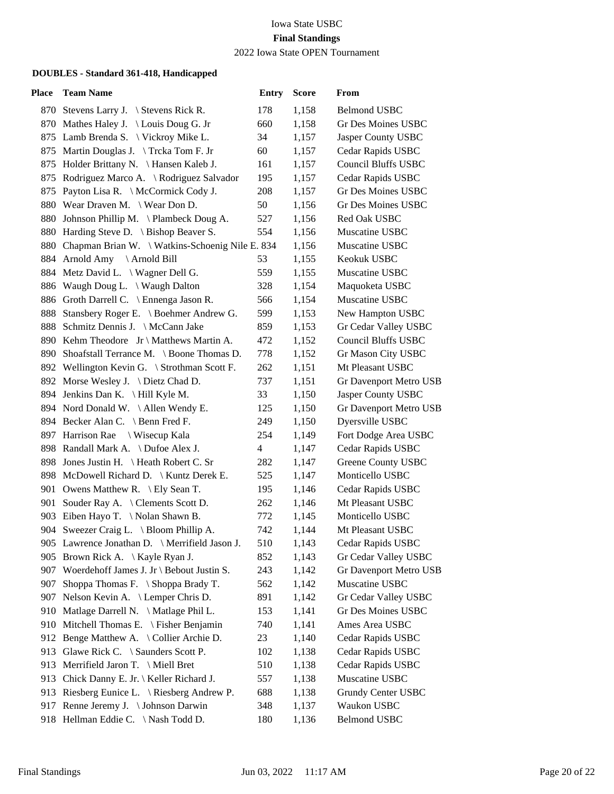2022 Iowa State OPEN Tournament

| <b>Team Name</b>                                | <b>Entry</b>                        | <b>Score</b>                                       | From                          |
|-------------------------------------------------|-------------------------------------|----------------------------------------------------|-------------------------------|
| 870 Stevens Larry J. \ Stevens Rick R.          | 178                                 | 1,158                                              | <b>Belmond USBC</b>           |
| 870 Mathes Haley J. \ Louis Doug G. Jr          | 660                                 | 1,158                                              | <b>Gr Des Moines USBC</b>     |
| 875 Lamb Brenda S. \ Vickroy Mike L.            | 34                                  | 1,157                                              | Jasper County USBC            |
| 875 Martin Douglas J. \Trcka Tom F. Jr          | 60                                  | 1,157                                              | Cedar Rapids USBC             |
| 875 Holder Brittany N. \ Hansen Kaleb J.        | 161                                 | 1,157                                              | Council Bluffs USBC           |
| 875 Rodriguez Marco A. \ Rodriguez Salvador     | 195                                 | 1,157                                              | Cedar Rapids USBC             |
| 875 Payton Lisa R. \ McCormick Cody J.          | 208                                 | 1,157                                              | Gr Des Moines USBC            |
| 880 Wear Draven M. \ Wear Don D.                | 50                                  | 1,156                                              | Gr Des Moines USBC            |
| 880 Johnson Phillip M. \ Plambeck Doug A.       | 527                                 | 1,156                                              | Red Oak USBC                  |
| 880 Harding Steve D. \ Bishop Beaver S.         | 554                                 | 1,156                                              | Muscatine USBC                |
|                                                 |                                     | 1,156                                              | Muscatine USBC                |
| 884 Arnold Amy \Arnold Bill                     | 53                                  | 1,155                                              | Keokuk USBC                   |
| 884 Metz David L. \ Wagner Dell G.              | 559                                 | 1,155                                              | Muscatine USBC                |
| 886 Waugh Doug L. \ Waugh Dalton                | 328                                 | 1,154                                              | Maquoketa USBC                |
| 886 Groth Darrell C. \ Ennenga Jason R.         | 566                                 | 1,154                                              | Muscatine USBC                |
| 888 Stansbery Roger E. \ Boehmer Andrew G.      | 599                                 | 1,153                                              | New Hampton USBC              |
| 888 Schmitz Dennis J. \ McCann Jake             | 859                                 | 1,153                                              | Gr Cedar Valley USBC          |
| 890 Kehm Theodore Jr \ Matthews Martin A.       | 472                                 | 1,152                                              | <b>Council Bluffs USBC</b>    |
| Shoafstall Terrance M. \ Boone Thomas D.<br>890 | 778                                 | 1,152                                              | Gr Mason City USBC            |
| 892 Wellington Kevin G. \ Strothman Scott F.    | 262                                 | 1,151                                              | Mt Pleasant USBC              |
| 892 Morse Wesley J. \ Dietz Chad D.             | 737                                 | 1,151                                              | Gr Davenport Metro USB        |
| 894 Jenkins Dan K. \ Hill Kyle M.               | 33                                  | 1,150                                              | Jasper County USBC            |
| 894 Nord Donald W. \Allen Wendy E.              | 125                                 | 1,150                                              | Gr Davenport Metro USB        |
| 894 Becker Alan C. \ Benn Fred F.               | 249                                 | 1,150                                              | Dyersville USBC               |
| 897 Harrison Rae \ Wisecup Kala                 | 254                                 | 1,149                                              | Fort Dodge Area USBC          |
| 898 Randall Mark A. \Dufoe Alex J.              | 4                                   | 1,147                                              | Cedar Rapids USBC             |
| 898 Jones Justin H. \ Heath Robert C. Sr        | 282                                 | 1,147                                              | Greene County USBC            |
| 898 McDowell Richard D.   Kuntz Derek E.        | 525                                 | 1,147                                              | Monticello USBC               |
| 901 Owens Matthew R. \ Ely Sean T.              | 195                                 | 1,146                                              | Cedar Rapids USBC             |
| 901 Souder Ray A. \ Clements Scott D.           | 262                                 | 1,146                                              | Mt Pleasant USBC              |
| 903 Eiben Hayo T. \ Nolan Shawn B.              | 772                                 | 1,145                                              | Monticello USBC               |
| 904 Sweezer Craig L. \ Bloom Phillip A.         | 742                                 | 1,144                                              | Mt Pleasant USBC              |
| 905 Lawrence Jonathan D. \ Merrifield Jason J.  | 510                                 | 1,143                                              | Cedar Rapids USBC             |
| Brown Rick A. \ Kayle Ryan J.                   | 852                                 | 1,143                                              | Gr Cedar Valley USBC          |
| 907 Woerdehoff James J. Jr \ Bebout Justin S.   | 243                                 | 1,142                                              | <b>Gr Davenport Metro USB</b> |
| Shoppa Thomas F. \ Shoppa Brady T.<br>907       | 562                                 | 1,142                                              | Muscatine USBC                |
| 907 Nelson Kevin A. \ Lemper Chris D.           | 891                                 | 1,142                                              | Gr Cedar Valley USBC          |
| 910 Matlage Darrell N. \ Matlage Phil L.        | 153                                 | 1,141                                              | <b>Gr Des Moines USBC</b>     |
| 910 Mitchell Thomas E. \ Fisher Benjamin        | 740                                 | 1,141                                              | Ames Area USBC                |
| 912 Benge Matthew A. \Collier Archie D.         | 23                                  | 1,140                                              | Cedar Rapids USBC             |
| 913 Glawe Rick C. \ Saunders Scott P.           | 102                                 | 1,138                                              | Cedar Rapids USBC             |
| 913 Merrifield Jaron T. \ Miell Bret            | 510                                 | 1,138                                              | Cedar Rapids USBC             |
| 913 Chick Danny E. Jr. \ Keller Richard J.      | 557                                 | 1,138                                              | Muscatine USBC                |
| 913 Riesberg Eunice L. \ Riesberg Andrew P.     | 688                                 | 1,138                                              | Grundy Center USBC            |
| 917 Renne Jeremy J. \Johnson Darwin             | 348                                 | 1,137                                              | Waukon USBC                   |
|                                                 | 180                                 | 1,136                                              | <b>Belmond USBC</b>           |
|                                                 | 918 Hellman Eddie C. \ Nash Todd D. | 880 Chapman Brian W. \Watkins-Schoenig Nile E. 834 |                               |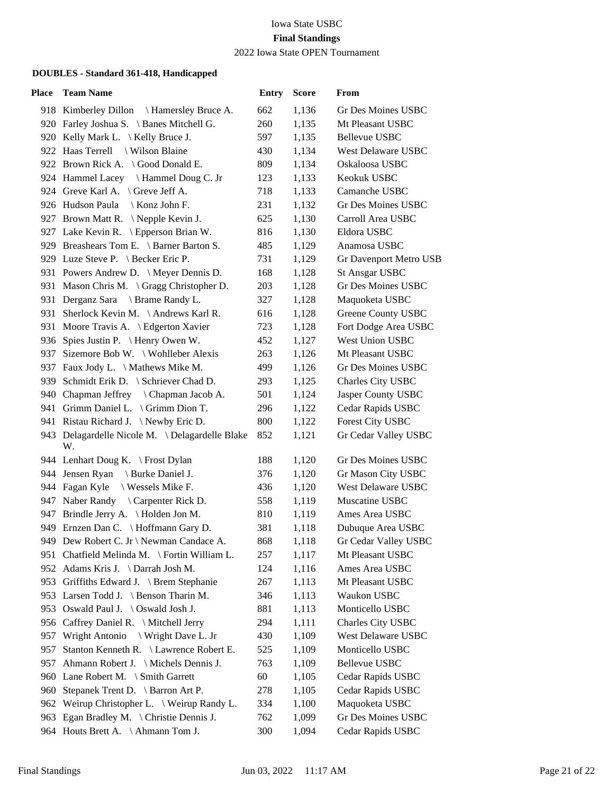2022 Iowa State OPEN Tournament

| Place | <b>Team Name</b>                                     | <b>Entry</b> | <b>Score</b> | From                      |
|-------|------------------------------------------------------|--------------|--------------|---------------------------|
|       | 918 Kimberley Dillon \ Hamersley Bruce A.            | 662          | 1,136        | Gr Des Moines USBC        |
|       | 920 Farley Joshua S. \ Banes Mitchell G.             | 260          | 1,135        | Mt Pleasant USBC          |
|       | 920 Kelly Mark L. \ Kelly Bruce J.                   | 597          | 1,135        | Bellevue USBC             |
|       | 922 Haas Terrell \ Wilson Blaine                     | 430          | 1,134        | West Delaware USBC        |
|       | 922 Brown Rick A. \ Good Donald E.                   | 809          | 1,134        | Oskaloosa USBC            |
|       | 924 Hammel Lacey \ Hammel Doug C. Jr                 | 123          | 1,133        | Keokuk USBC               |
|       | 924 Greve Karl A. \Greve Jeff A.                     | 718          | 1,133        | Camanche USBC             |
|       | 926 Hudson Paula \ Konz John F.                      | 231          | 1,132        | Gr Des Moines USBC        |
|       | 927 Brown Matt R. \ Nepple Kevin J.                  | 625          | 1,130        | Carroll Area USBC         |
|       | 927 Lake Kevin R. \ Epperson Brian W.                | 816          | 1,130        | Eldora USBC               |
|       | 929 Breashears Tom E. \ Barner Barton S.             | 485          | 1,129        | Anamosa USBC              |
|       | 929 Luze Steve P. \ Becker Eric P.                   | 731          | 1,129        | Gr Davenport Metro USB    |
|       | 931 Powers Andrew D. \ Meyer Dennis D.               | 168          | 1,128        | <b>St Ansgar USBC</b>     |
|       | 931 Mason Chris M. \ Gragg Christopher D.            | 203          | 1,128        | Gr Des Moines USBC        |
|       | 931 Derganz Sara \ Brame Randy L.                    | 327          | 1,128        | Maquoketa USBC            |
|       | 931 Sherlock Kevin M. \Andrews Karl R.               | 616          | 1,128        | Greene County USBC        |
|       | 931 Moore Travis A. \ Edgerton Xavier                | 723          | 1,128        | Fort Dodge Area USBC      |
|       | 936 Spies Justin P. \ Henry Owen W.                  | 452          | 1,127        | West Union USBC           |
|       | 937 Sizemore Bob W. \ Wohlleber Alexis               | 263          | 1,126        | Mt Pleasant USBC          |
|       | 937 Faux Jody L. \ Mathews Mike M.                   | 499          | 1,126        | <b>Gr Des Moines USBC</b> |
|       | 939 Schmidt Erik D. \ Schriever Chad D.              | 293          | 1,125        | Charles City USBC         |
|       | 940 Chapman Jeffrey \ Chapman Jacob A.               | 501          | 1,124        | Jasper County USBC        |
|       | 941 Grimm Daniel L. \ Grimm Dion T.                  | 296          | 1,122        | Cedar Rapids USBC         |
|       | 941 Ristau Richard J. \Newby Eric D.                 | 800          | 1,122        | Forest City USBC          |
|       | 943 Delagardelle Nicole M. \Delagardelle Blake<br>W. | 852          | 1,121        | Gr Cedar Valley USBC      |
|       | 944 Lenhart Doug K. \ Frost Dylan                    | 188          | 1,120        | Gr Des Moines USBC        |
|       | 944 Jensen Ryan<br>Burke Daniel J.                   | 376          | 1,120        | Gr Mason City USBC        |
|       | 944 Fagan Kyle \ Wessels Mike F.                     | 436          | 1,120        | West Delaware USBC        |
|       | 947 Naber Randy \ Carpenter Rick D.                  | 558          | 1,119        | Muscatine USBC            |
|       | 947 Brindle Jerry A. \ Holden Jon M.                 | 810          | 1,119        | Ames Area USBC            |
|       | 949 Ernzen Dan C. \ Hoffmann Gary D.                 | 381          | 1,118        | Dubuque Area USBC         |
|       | 949 Dew Robert C. Jr \ Newman Candace A.             | 868          | 1,118        | Gr Cedar Valley USBC      |
|       | 951 Chatfield Melinda M. \ Fortin William L.         | 257          | 1,117        | Mt Pleasant USBC          |
|       | 952 Adams Kris J. \Darrah Josh M.                    | 124          | 1,116        | Ames Area USBC            |
|       | 953 Griffiths Edward J. \ Brem Stephanie             | 267          | 1,113        | Mt Pleasant USBC          |
|       | 953 Larsen Todd J. \ Benson Tharin M.                | 346          | 1,113        | Waukon USBC               |
|       | 953 Oswald Paul J. \ Oswald Josh J.                  | 881          | 1,113        | Monticello USBC           |
|       | 956 Caffrey Daniel R. \ Mitchell Jerry               | 294          | 1,111        | Charles City USBC         |
| 957   | Wright Antonio \ Wright Dave L. Jr                   | 430          | 1,109        | West Delaware USBC        |
| 957   | Stanton Kenneth R. \ Lawrence Robert E.              | 525          | 1,109        | Monticello USBC           |
| 957   | Ahmann Robert J. \ Michels Dennis J.                 | 763          | 1,109        | Bellevue USBC             |
|       | 960 Lane Robert M. \ Smith Garrett                   | 60           | 1,105        | Cedar Rapids USBC         |
| 960   | Stepanek Trent D. \ Barron Art P.                    | 278          | 1,105        | Cedar Rapids USBC         |
|       | 962 Weirup Christopher L. \ Weirup Randy L.          | 334          | 1,100        | Maquoketa USBC            |
|       | 963 Egan Bradley M. \ Christie Dennis J.             | 762          | 1,099        | Gr Des Moines USBC        |
|       | 964 Houts Brett A. \Ahmann Tom J.                    | 300          | 1,094        | Cedar Rapids USBC         |